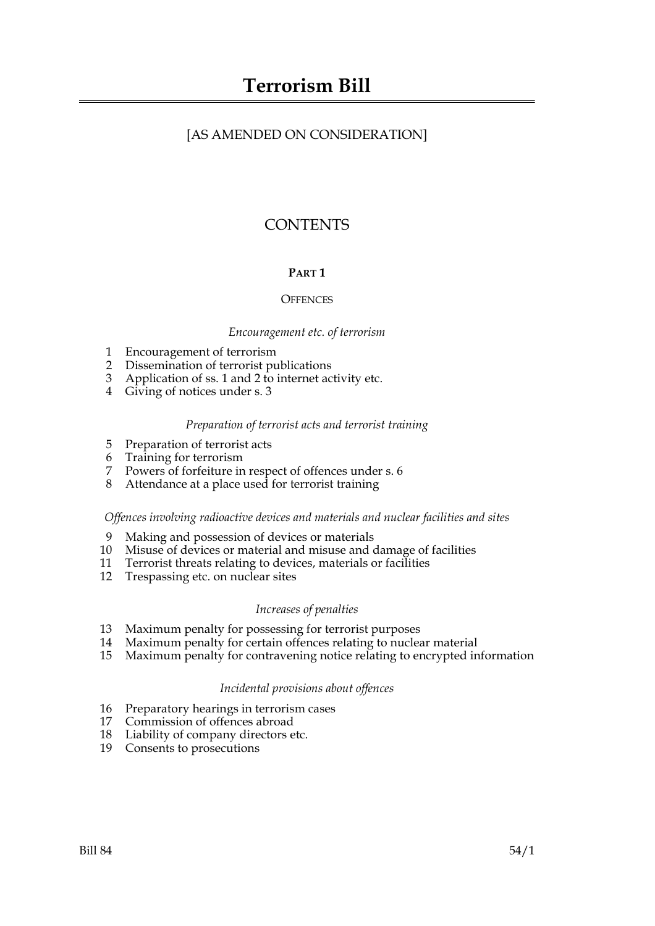# [AS AMENDED ON CONSIDERATION]

# **CONTENTS**

# **PART 1**

### **OFFENCES**

#### *Encouragement etc. of terrorism*

- 1 Encouragement of terrorism
- 2 Dissemination of terrorist publications
- 3 Application of ss. 1 and 2 to internet activity etc.
- 4 Giving of notices under s. 3

#### *Preparation of terrorist acts and terrorist training*

- 5 Preparation of terrorist acts
- 6 Training for terrorism
- 7 Powers of forfeiture in respect of offences under s. 6
- 8 Attendance at a place used for terrorist training

### *Offences involving radioactive devices and materials and nuclear facilities and sites*

- 9 Making and possession of devices or materials
- 10 Misuse of devices or material and misuse and damage of facilities
- 11 Terrorist threats relating to devices, materials or facilities
- 12 Trespassing etc. on nuclear sites

#### *Increases of penalties*

- 13 Maximum penalty for possessing for terrorist purposes
- 14 Maximum penalty for certain offences relating to nuclear material
- 15 Maximum penalty for contravening notice relating to encrypted information

#### *Incidental provisions about offences*

- 16 Preparatory hearings in terrorism cases
- 17 Commission of offences abroad
- 18 Liability of company directors etc.
- 19 Consents to prosecutions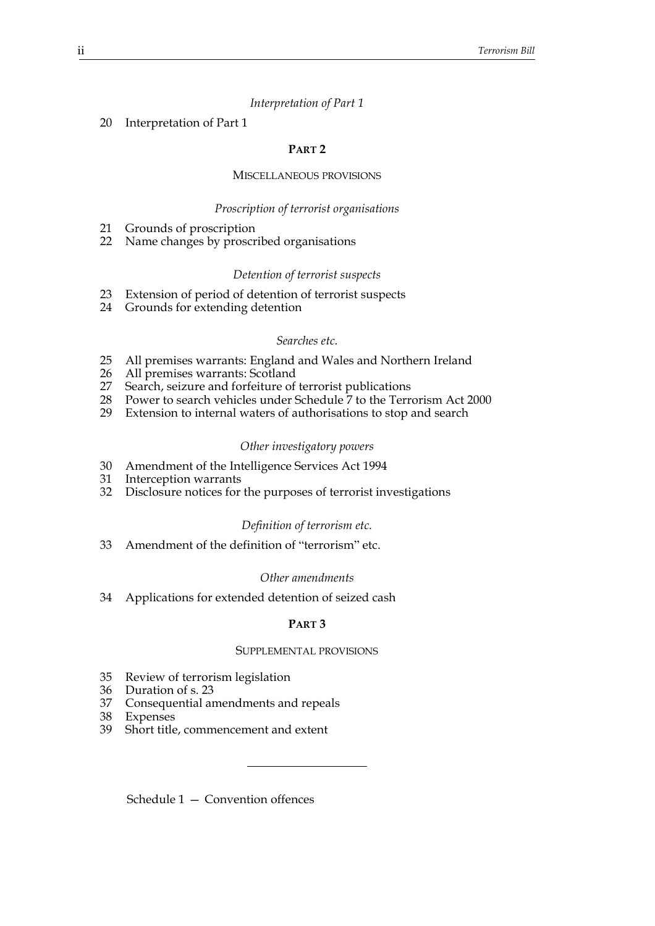#### *Interpretation of Part 1*

#### 20 Interpretation of Part 1

#### **PART 2**

#### MISCELLANEOUS PROVISIONS

#### *Proscription of terrorist organisations*

- 21 Grounds of proscription
- 22 Name changes by proscribed organisations

#### *Detention of terrorist suspects*

- 23 Extension of period of detention of terrorist suspects
- 24 Grounds for extending detention

#### *Searches etc.*

- 25 All premises warrants: England and Wales and Northern Ireland
- 26 All premises warrants: Scotland<br>27 Search, seizure and forfeiture of
- Search, seizure and forfeiture of terrorist publications
- 28 Power to search vehicles under Schedule 7 to the Terrorism Act 2000
- 29 Extension to internal waters of authorisations to stop and search

#### *Other investigatory powers*

- 30 Amendment of the Intelligence Services Act 1994
- 31 Interception warrants
- 32 Disclosure notices for the purposes of terrorist investigations

#### *Definition of terrorism etc.*

33 Amendment of the definition of "terrorism" etc.

#### *Other amendments*

34 Applications for extended detention of seized cash

#### **PART 3**

#### SUPPLEMENTAL PROVISIONS

- 35 Review of terrorism legislation
- 36 Duration of s. 23
- 37 Consequential amendments and repeals
- 38 Expenses<br>39 Short title
- Short title, commencement and extent

Schedule 1 — Convention offences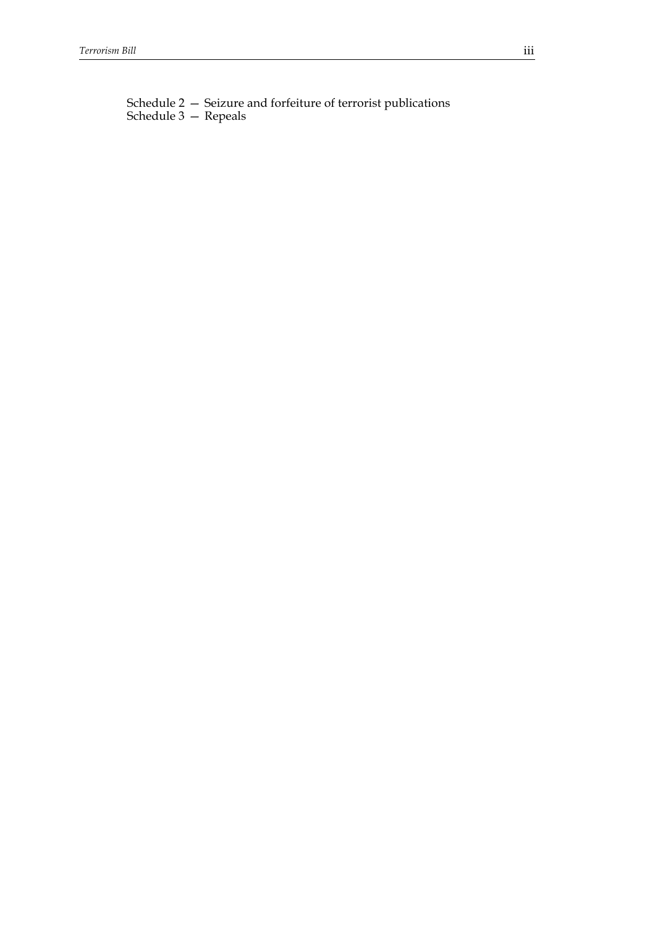Schedule 2 — Seizure and forfeiture of terrorist publications Schedule 3 — Repeals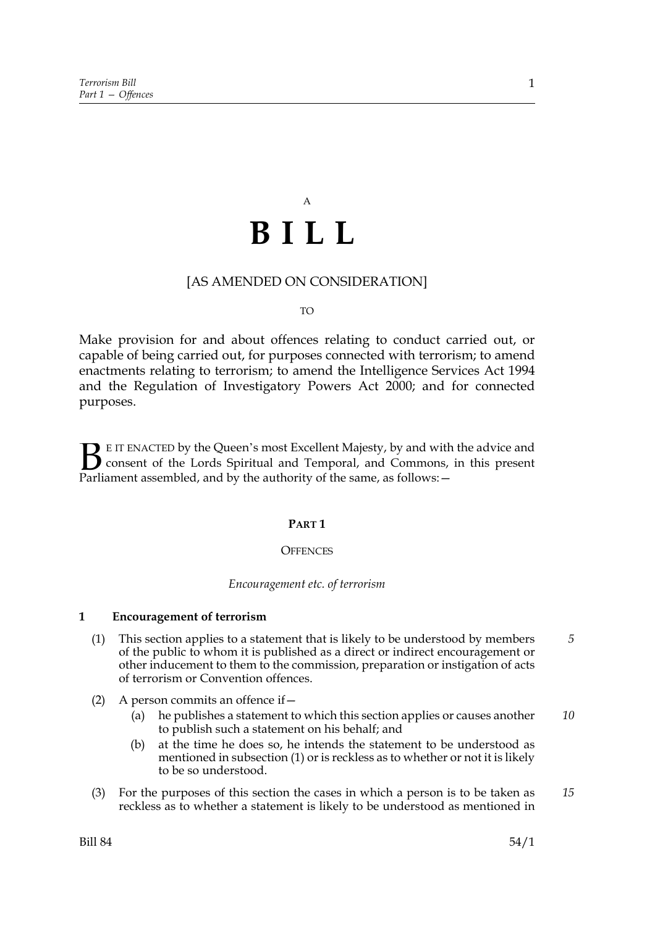# A **BILL**

### [AS AMENDED ON CONSIDERATION]

#### TO

Make provision for and about offences relating to conduct carried out, or capable of being carried out, for purposes connected with terrorism; to amend enactments relating to terrorism; to amend the Intelligence Services Act 1994 and the Regulation of Investigatory Powers Act 2000; and for connected purposes.

E IT ENACTED by the Queen's most Excellent Majesty, by and with the advice and consent of the Lords Spiritual and Temporal, and Commons, in this present **B** E IT ENACTED by the Queen's most Excellent Majesty, by and with consent of the Lords Spiritual and Temporal, and Commons, Parliament assembled, and by the authority of the same, as follows:  $-$ 

#### **PART 1**

#### **OFFENCES**

#### *Encouragement etc. of terrorism*

#### **1 Encouragement of terrorism**

- (1) This section applies to a statement that is likely to be understood by members of the public to whom it is published as a direct or indirect encouragement or other inducement to them to the commission, preparation or instigation of acts of terrorism or Convention offences. *5*
- (2) A person commits an offence if  $-$ 
	- (a) he publishes a statement to which this section applies or causes another to publish such a statement on his behalf; and *10*
	- (b) at the time he does so, he intends the statement to be understood as mentioned in subsection (1) or is reckless as to whether or not it is likely to be so understood.
- (3) For the purposes of this section the cases in which a person is to be taken as reckless as to whether a statement is likely to be understood as mentioned in *15*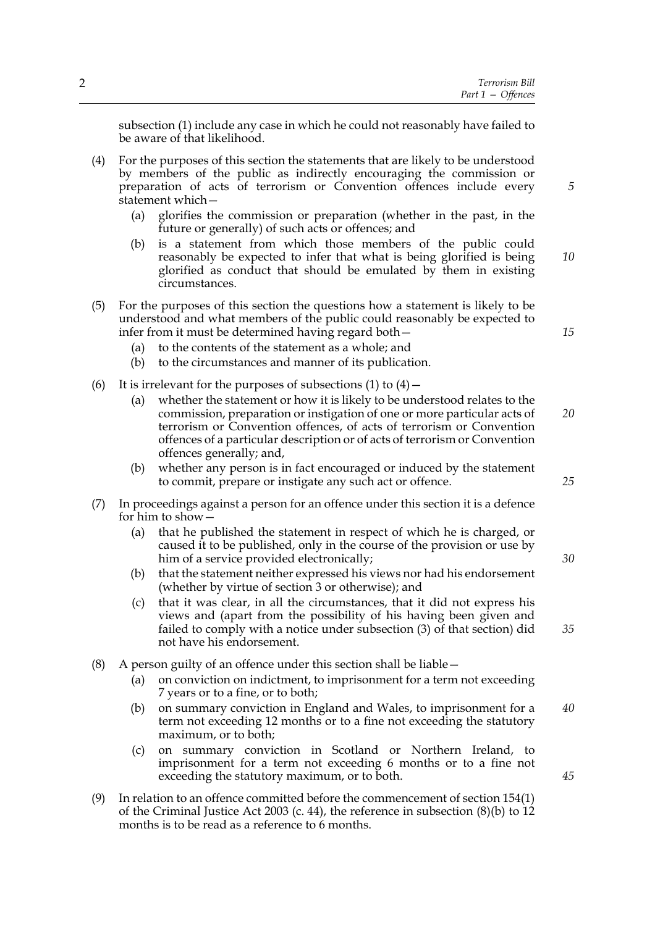subsection (1) include any case in which he could not reasonably have failed to be aware of that likelihood.

- (4) For the purposes of this section the statements that are likely to be understood by members of the public as indirectly encouraging the commission or preparation of acts of terrorism or Convention offences include every statement which—
	- (a) glorifies the commission or preparation (whether in the past, in the future or generally) of such acts or offences; and
	- (b) is a statement from which those members of the public could reasonably be expected to infer that what is being glorified is being glorified as conduct that should be emulated by them in existing circumstances. *10*
- (5) For the purposes of this section the questions how a statement is likely to be understood and what members of the public could reasonably be expected to infer from it must be determined having regard both—
	- (a) to the contents of the statement as a whole; and
	- (b) to the circumstances and manner of its publication.
- (6) It is irrelevant for the purposes of subsections  $(1)$  to  $(4)$  -
	- (a) whether the statement or how it is likely to be understood relates to the commission, preparation or instigation of one or more particular acts of terrorism or Convention offences, of acts of terrorism or Convention offences of a particular description or of acts of terrorism or Convention offences generally; and, *20*
	- (b) whether any person is in fact encouraged or induced by the statement to commit, prepare or instigate any such act or offence.
- (7) In proceedings against a person for an offence under this section it is a defence for him to show—
	- (a) that he published the statement in respect of which he is charged, or caused it to be published, only in the course of the provision or use by him of a service provided electronically;
	- (b) that the statement neither expressed his views nor had his endorsement (whether by virtue of section 3 or otherwise); and
	- (c) that it was clear, in all the circumstances, that it did not express his views and (apart from the possibility of his having been given and failed to comply with a notice under subsection (3) of that section) did not have his endorsement.
- (8) A person guilty of an offence under this section shall be liable—
	- (a) on conviction on indictment, to imprisonment for a term not exceeding 7 years or to a fine, or to both;
	- (b) on summary conviction in England and Wales, to imprisonment for a term not exceeding 12 months or to a fine not exceeding the statutory maximum, or to both; *40*
	- (c) on summary conviction in Scotland or Northern Ireland, to imprisonment for a term not exceeding 6 months or to a fine not exceeding the statutory maximum, or to both.
- (9) In relation to an offence committed before the commencement of section 154(1) of the Criminal Justice Act 2003 (c. 44), the reference in subsection (8)(b) to 12 months is to be read as a reference to 6 months.

*15*

*5*

*25*

*30*

*35*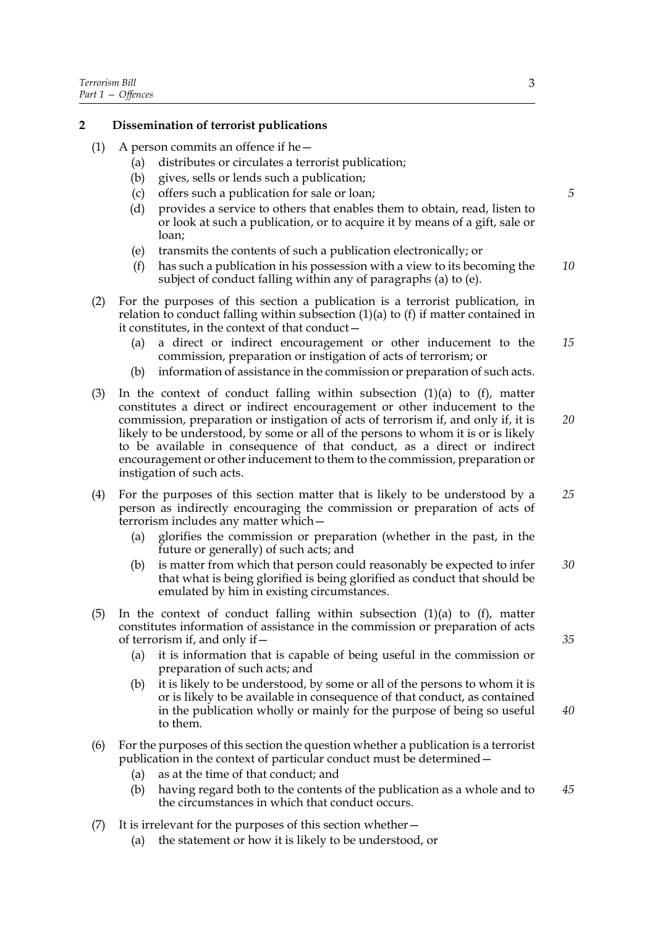#### **2 Dissemination of terrorist publications**

- (1) A person commits an offence if he $-$ 
	- (a) distributes or circulates a terrorist publication;
	- (b) gives, sells or lends such a publication;
	- (c) offers such a publication for sale or loan;
	- (d) provides a service to others that enables them to obtain, read, listen to or look at such a publication, or to acquire it by means of a gift, sale or loan;
	- (e) transmits the contents of such a publication electronically; or
	- (f) has such a publication in his possession with a view to its becoming the subject of conduct falling within any of paragraphs (a) to (e). *10*
- (2) For the purposes of this section a publication is a terrorist publication, in relation to conduct falling within subsection  $(1)(a)$  to  $(f)$  if matter contained in it constitutes, in the context of that conduct—
	- (a) a direct or indirect encouragement or other inducement to the commission, preparation or instigation of acts of terrorism; or *15*
	- (b) information of assistance in the commission or preparation of such acts.
- (3) In the context of conduct falling within subsection (1)(a) to (f), matter constitutes a direct or indirect encouragement or other inducement to the commission, preparation or instigation of acts of terrorism if, and only if, it is likely to be understood, by some or all of the persons to whom it is or is likely to be available in consequence of that conduct, as a direct or indirect encouragement or other inducement to them to the commission, preparation or instigation of such acts.
- (4) For the purposes of this section matter that is likely to be understood by a person as indirectly encouraging the commission or preparation of acts of terrorism includes any matter which— *25*
	- (a) glorifies the commission or preparation (whether in the past, in the future or generally) of such acts; and
	- (b) is matter from which that person could reasonably be expected to infer that what is being glorified is being glorified as conduct that should be emulated by him in existing circumstances. *30*
- (5) In the context of conduct falling within subsection  $(1)(a)$  to  $(f)$ , matter constitutes information of assistance in the commission or preparation of acts of terrorism if, and only if—
	- (a) it is information that is capable of being useful in the commission or preparation of such acts; and
	- (b) it is likely to be understood, by some or all of the persons to whom it is or is likely to be available in consequence of that conduct, as contained in the publication wholly or mainly for the purpose of being so useful to them.
- (6) For the purposes of this section the question whether a publication is a terrorist publication in the context of particular conduct must be determined—
	- (a) as at the time of that conduct; and
	- (b) having regard both to the contents of the publication as a whole and to the circumstances in which that conduct occurs. *45*
- (7) It is irrelevant for the purposes of this section whether—
	- (a) the statement or how it is likely to be understood, or

*5*

*20*

*35*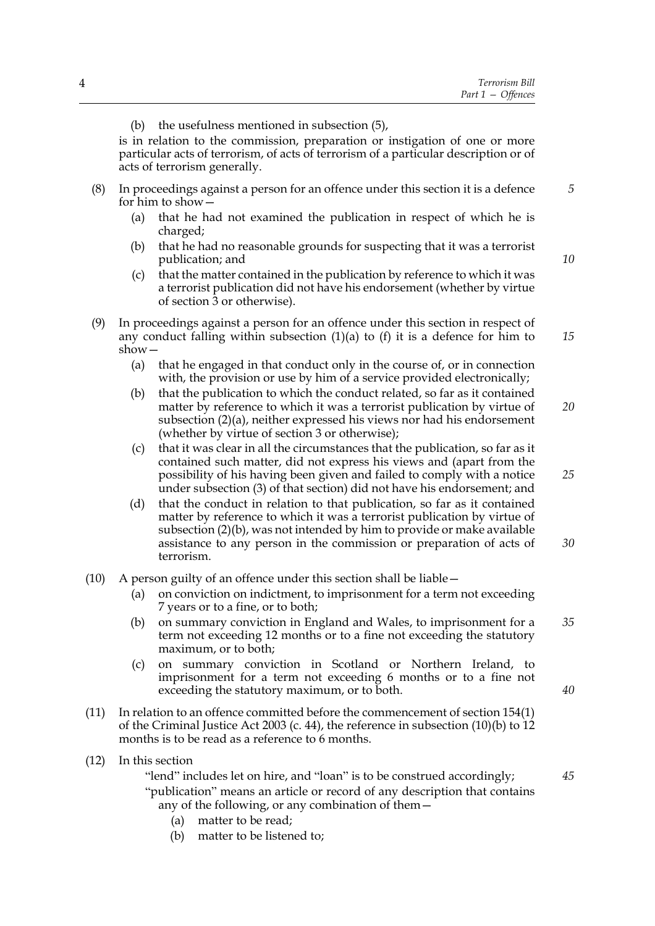is in relation to the commission, preparation or instigation of one or more particular acts of terrorism, of acts of terrorism of a particular description or of acts of terrorism generally.

- (8) In proceedings against a person for an offence under this section it is a defence for him to show—
	- (a) that he had not examined the publication in respect of which he is charged;
	- (b) that he had no reasonable grounds for suspecting that it was a terrorist publication; and
	- (c) that the matter contained in the publication by reference to which it was a terrorist publication did not have his endorsement (whether by virtue of section 3 or otherwise).
- (9) In proceedings against a person for an offence under this section in respect of any conduct falling within subsection  $(1)(a)$  to  $(f)$  it is a defence for him to show— *15*
	- (a) that he engaged in that conduct only in the course of, or in connection with, the provision or use by him of a service provided electronically;
	- (b) that the publication to which the conduct related, so far as it contained matter by reference to which it was a terrorist publication by virtue of subsection (2)(a), neither expressed his views nor had his endorsement (whether by virtue of section 3 or otherwise); *20*
	- (c) that it was clear in all the circumstances that the publication, so far as it contained such matter, did not express his views and (apart from the possibility of his having been given and failed to comply with a notice under subsection (3) of that section) did not have his endorsement; and
	- (d) that the conduct in relation to that publication, so far as it contained matter by reference to which it was a terrorist publication by virtue of subsection (2)(b), was not intended by him to provide or make available assistance to any person in the commission or preparation of acts of terrorism. *30*
- (10) A person guilty of an offence under this section shall be liable—
	- (a) on conviction on indictment, to imprisonment for a term not exceeding 7 years or to a fine, or to both;
	- (b) on summary conviction in England and Wales, to imprisonment for a term not exceeding 12 months or to a fine not exceeding the statutory maximum, or to both; *35*
	- (c) on summary conviction in Scotland or Northern Ireland, to imprisonment for a term not exceeding 6 months or to a fine not exceeding the statutory maximum, or to both.
- (11) In relation to an offence committed before the commencement of section 154(1) of the Criminal Justice Act 2003 (c. 44), the reference in subsection (10)(b) to 12 months is to be read as a reference to 6 months.
- (12) In this section

"lend" includes let on hire, and "loan" is to be construed accordingly; "publication" means an article or record of any description that contains any of the following, or any combination of them—

- (a) matter to be read;
- (b) matter to be listened to;

*10*

*25*

*40*

*45*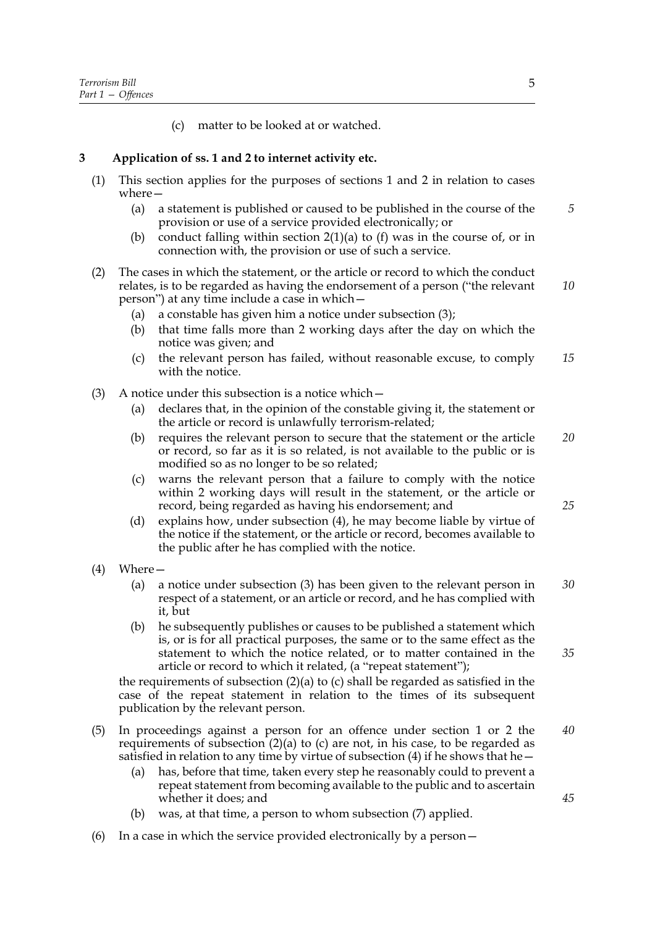(c) matter to be looked at or watched.

# **3 Application of ss. 1 and 2 to internet activity etc.**

- (1) This section applies for the purposes of sections 1 and 2 in relation to cases where—
	- (a) a statement is published or caused to be published in the course of the provision or use of a service provided electronically; or *5*
	- (b) conduct falling within section  $2(1)(a)$  to (f) was in the course of, or in connection with, the provision or use of such a service.
- (2) The cases in which the statement, or the article or record to which the conduct relates, is to be regarded as having the endorsement of a person ("the relevant person") at any time include a case in which— *10*
	- (a) a constable has given him a notice under subsection (3);
	- (b) that time falls more than 2 working days after the day on which the notice was given; and
	- (c) the relevant person has failed, without reasonable excuse, to comply with the notice *15*
- $(3)$  A notice under this subsection is a notice which  $-$ 
	- (a) declares that, in the opinion of the constable giving it, the statement or the article or record is unlawfully terrorism-related;
	- (b) requires the relevant person to secure that the statement or the article or record, so far as it is so related, is not available to the public or is modified so as no longer to be so related; *20*
	- (c) warns the relevant person that a failure to comply with the notice within 2 working days will result in the statement, or the article or record, being regarded as having his endorsement; and
	- (d) explains how, under subsection (4), he may become liable by virtue of the notice if the statement, or the article or record, becomes available to the public after he has complied with the notice.
- (4) Where—
	- (a) a notice under subsection (3) has been given to the relevant person in respect of a statement, or an article or record, and he has complied with it, but *30*
	- (b) he subsequently publishes or causes to be published a statement which is, or is for all practical purposes, the same or to the same effect as the statement to which the notice related, or to matter contained in the article or record to which it related, (a "repeat statement");

the requirements of subsection  $(2)(a)$  to  $(c)$  shall be regarded as satisfied in the case of the repeat statement in relation to the times of its subsequent publication by the relevant person.

- (5) In proceedings against a person for an offence under section 1 or 2 the requirements of subsection  $(2)(a)$  to  $(c)$  are not, in his case, to be regarded as satisfied in relation to any time by virtue of subsection (4) if he shows that he— *40*
	- (a) has, before that time, taken every step he reasonably could to prevent a repeat statement from becoming available to the public and to ascertain whether it does; and
	- (b) was, at that time, a person to whom subsection (7) applied.
- (6) In a case in which the service provided electronically by a person—

*25*

*35*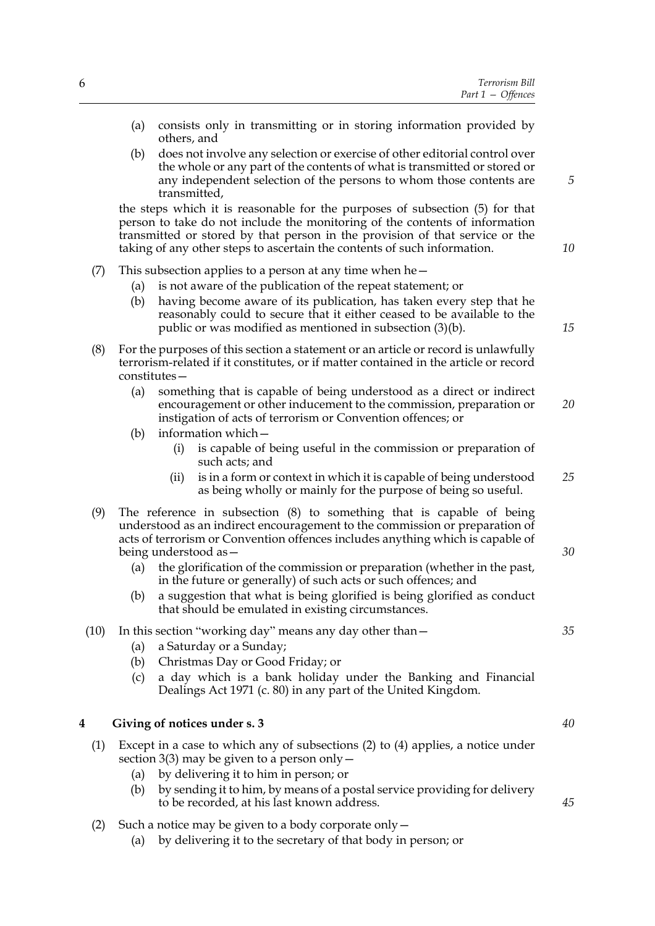|    | Part $1 -$ Offences                                                                                                                                                                                                                                                                                                                                                                                                                                                                                                                                          |      |
|----|--------------------------------------------------------------------------------------------------------------------------------------------------------------------------------------------------------------------------------------------------------------------------------------------------------------------------------------------------------------------------------------------------------------------------------------------------------------------------------------------------------------------------------------------------------------|------|
|    | (a)<br>consists only in transmitting or in storing information provided by<br>others, and                                                                                                                                                                                                                                                                                                                                                                                                                                                                    |      |
| 5  | does not involve any selection or exercise of other editorial control over<br>(b)<br>the whole or any part of the contents of what is transmitted or stored or<br>any independent selection of the persons to whom those contents are<br>transmitted,                                                                                                                                                                                                                                                                                                        |      |
| 10 | the steps which it is reasonable for the purposes of subsection (5) for that<br>person to take do not include the monitoring of the contents of information<br>transmitted or stored by that person in the provision of that service or the<br>taking of any other steps to ascertain the contents of such information.                                                                                                                                                                                                                                      |      |
| 15 | This subsection applies to a person at any time when he $-$<br>is not aware of the publication of the repeat statement; or<br>(a)<br>having become aware of its publication, has taken every step that he<br>(b)<br>reasonably could to secure that it either ceased to be available to the<br>public or was modified as mentioned in subsection (3)(b).                                                                                                                                                                                                     | (7)  |
|    | For the purposes of this section a statement or an article or record is unlawfully<br>terrorism-related if it constitutes, or if matter contained in the article or record<br>$constitutes -$                                                                                                                                                                                                                                                                                                                                                                | (8)  |
| 20 | something that is capable of being understood as a direct or indirect<br>(a)<br>encouragement or other inducement to the commission, preparation or<br>instigation of acts of terrorism or Convention offences; or<br>information which-<br>(b)                                                                                                                                                                                                                                                                                                              |      |
| 25 | is capable of being useful in the commission or preparation of<br>(i)<br>such acts; and<br>is in a form or context in which it is capable of being understood<br>(ii)<br>as being wholly or mainly for the purpose of being so useful.                                                                                                                                                                                                                                                                                                                       |      |
| 30 | The reference in subsection (8) to something that is capable of being<br>understood as an indirect encouragement to the commission or preparation of<br>acts of terrorism or Convention offences includes anything which is capable of<br>being understood as -<br>the glorification of the commission or preparation (whether in the past,<br>(a)<br>in the future or generally) of such acts or such offences; and<br>a suggestion that what is being glorified is being glorified as conduct<br>(b)<br>that should be emulated in existing circumstances. | (9)  |
| 35 | In this section "working day" means any day other than -<br>a Saturday or a Sunday;<br>(a)<br>Christmas Day or Good Friday; or<br>(b)<br>a day which is a bank holiday under the Banking and Financial<br>(c)<br>Dealings Act 1971 (c. 80) in any part of the United Kingdom.                                                                                                                                                                                                                                                                                | (10) |
| 40 | Giving of notices under s. 3                                                                                                                                                                                                                                                                                                                                                                                                                                                                                                                                 | 4    |
| 45 | Except in a case to which any of subsections $(2)$ to $(4)$ applies, a notice under<br>section 3(3) may be given to a person only $-$<br>by delivering it to him in person; or<br>(a)<br>by sending it to him, by means of a postal service providing for delivery<br>(b)<br>to be recorded, at his last known address.                                                                                                                                                                                                                                      | (1)  |
|    | Such a notice may be given to a body corporate only –<br>by delivering it to the secretary of that body in person; or<br>(a)                                                                                                                                                                                                                                                                                                                                                                                                                                 | (2)  |

*Terrorism Bill*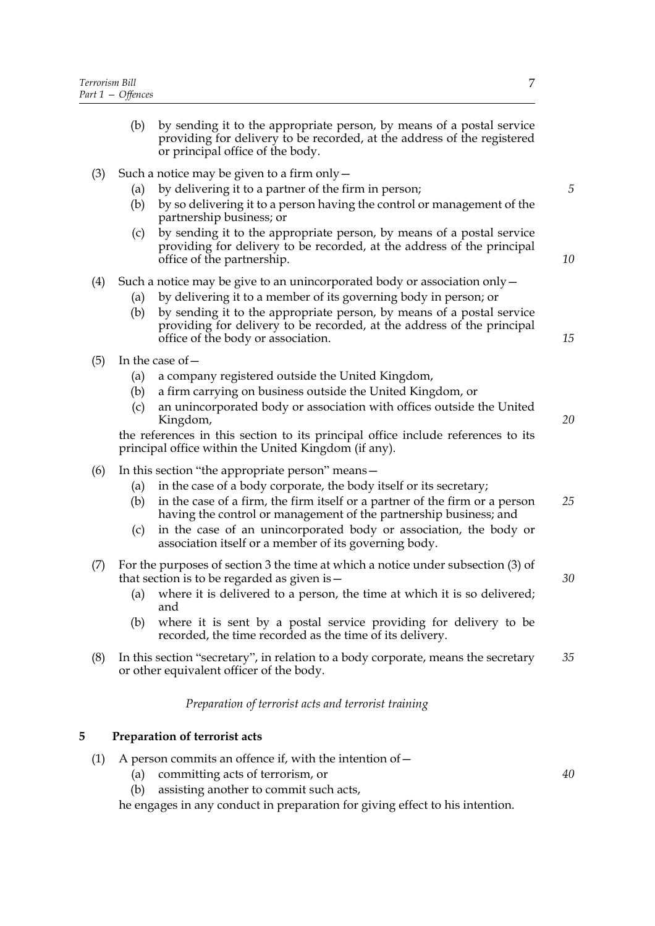- (b) by sending it to the appropriate person, by means of a postal service providing for delivery to be recorded, at the address of the registered or principal office of the body.
- (3) Such a notice may be given to a firm only  $-$ 
	- (a) by delivering it to a partner of the firm in person;
	- (b) by so delivering it to a person having the control or management of the partnership business; or
	- (c) by sending it to the appropriate person, by means of a postal service providing for delivery to be recorded, at the address of the principal office of the partnership.

### (4) Such a notice may be give to an unincorporated body or association only—

- (a) by delivering it to a member of its governing body in person; or
- (b) by sending it to the appropriate person, by means of a postal service providing for delivery to be recorded, at the address of the principal office of the body or association.
- $(5)$  In the case of  $-$ 
	- (a) a company registered outside the United Kingdom,
	- (b) a firm carrying on business outside the United Kingdom, or
	- (c) an unincorporated body or association with offices outside the United Kingdom,

the references in this section to its principal office include references to its principal office within the United Kingdom (if any).

- (6) In this section "the appropriate person" means—
	- (a) in the case of a body corporate, the body itself or its secretary;
	- (b) in the case of a firm, the firm itself or a partner of the firm or a person having the control or management of the partnership business; and
	- (c) in the case of an unincorporated body or association, the body or association itself or a member of its governing body.
- (7) For the purposes of section 3 the time at which a notice under subsection (3) of that section is to be regarded as given is—
	- (a) where it is delivered to a person, the time at which it is so delivered; and
	- (b) where it is sent by a postal service providing for delivery to be recorded, the time recorded as the time of its delivery.
- (8) In this section "secretary", in relation to a body corporate, means the secretary or other equivalent officer of the body. *35*

*Preparation of terrorist acts and terrorist training*

#### **5 Preparation of terrorist acts**

- (1) A person commits an offence if, with the intention of  $-$ 
	- (a) committing acts of terrorism, or
	- (b) assisting another to commit such acts,

he engages in any conduct in preparation for giving effect to his intention.

*5*

*10*

*15*

*20*

*25*

*30*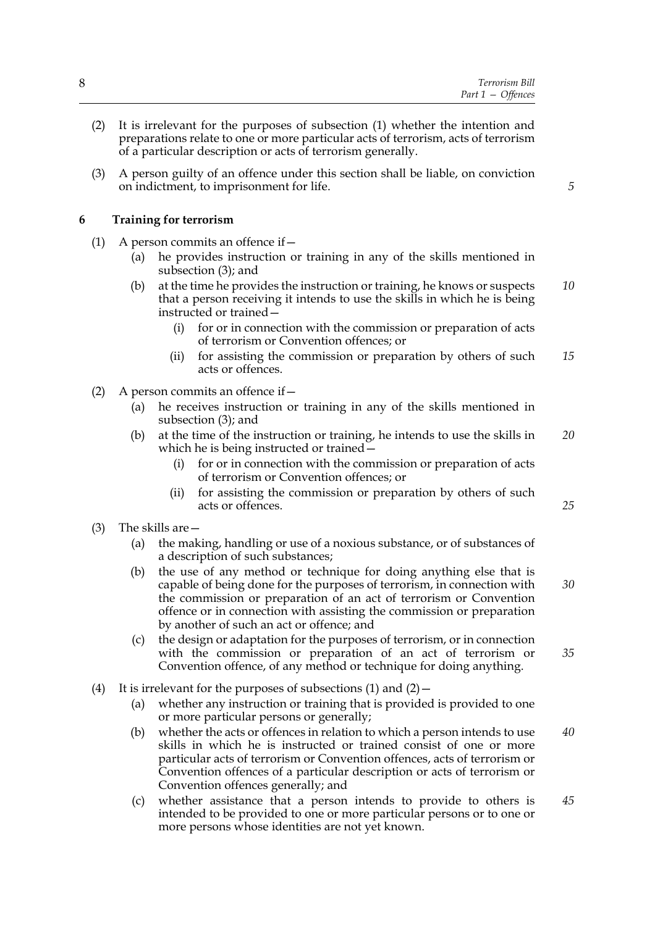- (2) It is irrelevant for the purposes of subsection (1) whether the intention and preparations relate to one or more particular acts of terrorism, acts of terrorism of a particular description or acts of terrorism generally.
- (3) A person guilty of an offence under this section shall be liable, on conviction on indictment, to imprisonment for life.

### **6 Training for terrorism**

- (1) A person commits an offence if  $-$ 
	- (a) he provides instruction or training in any of the skills mentioned in subsection (3); and
	- (b) at the time he provides the instruction or training, he knows or suspects that a person receiving it intends to use the skills in which he is being instructed or trained— *10*
		- (i) for or in connection with the commission or preparation of acts of terrorism or Convention offences; or
		- (ii) for assisting the commission or preparation by others of such acts or offences. *15*
- (2) A person commits an offence if—
	- (a) he receives instruction or training in any of the skills mentioned in subsection (3); and
	- (b) at the time of the instruction or training, he intends to use the skills in which he is being instructed or trained— *20*
		- (i) for or in connection with the commission or preparation of acts of terrorism or Convention offences; or
		- (ii) for assisting the commission or preparation by others of such acts or offences.
- (3) The skills are—
	- (a) the making, handling or use of a noxious substance, or of substances of a description of such substances;
	- (b) the use of any method or technique for doing anything else that is capable of being done for the purposes of terrorism, in connection with the commission or preparation of an act of terrorism or Convention offence or in connection with assisting the commission or preparation by another of such an act or offence; and *30*
	- (c) the design or adaptation for the purposes of terrorism, or in connection with the commission or preparation of an act of terrorism or Convention offence, of any method or technique for doing anything.
- (4) It is irrelevant for the purposes of subsections  $(1)$  and  $(2)$  -
	- (a) whether any instruction or training that is provided is provided to one or more particular persons or generally;
	- (b) whether the acts or offences in relation to which a person intends to use skills in which he is instructed or trained consist of one or more particular acts of terrorism or Convention offences, acts of terrorism or Convention offences of a particular description or acts of terrorism or Convention offences generally; and *40*
	- (c) whether assistance that a person intends to provide to others is intended to be provided to one or more particular persons or to one or more persons whose identities are not yet known. *45*

*5*

*25*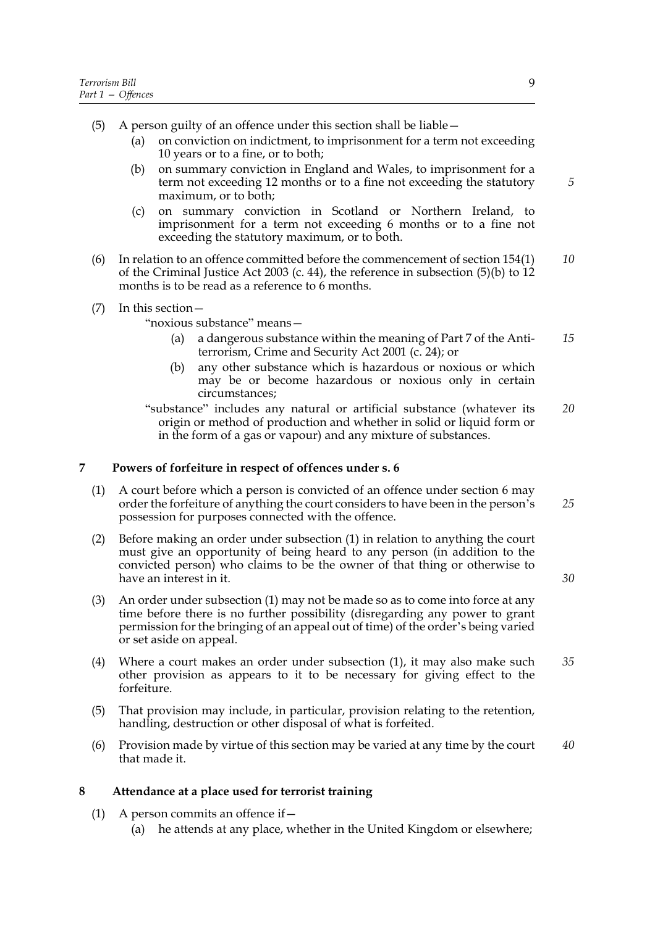- (5) A person guilty of an offence under this section shall be liable—
	- (a) on conviction on indictment, to imprisonment for a term not exceeding 10 years or to a fine, or to both;
	- (b) on summary conviction in England and Wales, to imprisonment for a term not exceeding 12 months or to a fine not exceeding the statutory maximum, or to both;
	- (c) on summary conviction in Scotland or Northern Ireland, to imprisonment for a term not exceeding 6 months or to a fine not exceeding the statutory maximum, or to both.
- (6) In relation to an offence committed before the commencement of section 154(1) of the Criminal Justice Act 2003 (c. 44), the reference in subsection  $(5)(b)$  to  $12$ months is to be read as a reference to 6 months. *10*
- (7) In this section—
	- "noxious substance" means—
		- (a) a dangerous substance within the meaning of Part 7 of the Antiterrorism, Crime and Security Act 2001 (c. 24); or *15*
		- (b) any other substance which is hazardous or noxious or which may be or become hazardous or noxious only in certain circumstances;
	- "substance" includes any natural or artificial substance (whatever its origin or method of production and whether in solid or liquid form or in the form of a gas or vapour) and any mixture of substances. *20*

# **7 Powers of forfeiture in respect of offences under s. 6**

- (1) A court before which a person is convicted of an offence under section 6 may order the forfeiture of anything the court considers to have been in the person's possession for purposes connected with the offence.
- (2) Before making an order under subsection (1) in relation to anything the court must give an opportunity of being heard to any person (in addition to the convicted person) who claims to be the owner of that thing or otherwise to have an interest in it.
- (3) An order under subsection (1) may not be made so as to come into force at any time before there is no further possibility (disregarding any power to grant permission for the bringing of an appeal out of time) of the order's being varied or set aside on appeal.
- (4) Where a court makes an order under subsection (1), it may also make such other provision as appears to it to be necessary for giving effect to the forfeiture. *35*
- (5) That provision may include, in particular, provision relating to the retention, handling, destruction or other disposal of what is forfeited.
- (6) Provision made by virtue of this section may be varied at any time by the court that made it. *40*

#### **8 Attendance at a place used for terrorist training**

- (1) A person commits an offence if  $-$ 
	- (a) he attends at any place, whether in the United Kingdom or elsewhere;

*5*

*25*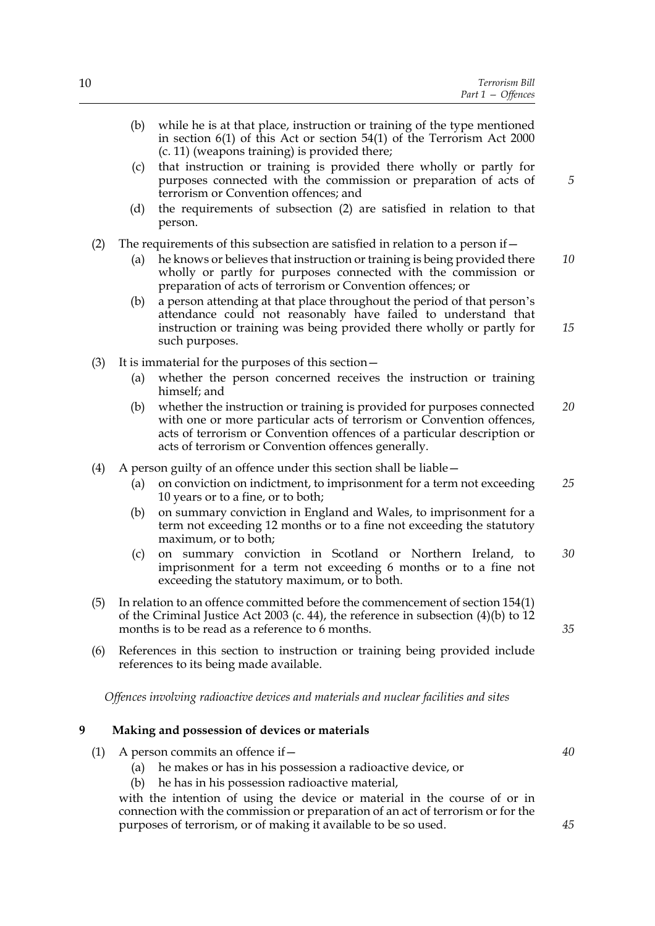|   |                                                                           | (b)        | while he is at that place, instruction or training of the type mentioned<br>in section $6(1)$ of this Act or section $54(1)$ of the Terrorism Act 2000                                                                                                                                                    |    |
|---|---------------------------------------------------------------------------|------------|-----------------------------------------------------------------------------------------------------------------------------------------------------------------------------------------------------------------------------------------------------------------------------------------------------------|----|
|   |                                                                           | (c)<br>(d) | (c. 11) (weapons training) is provided there;<br>that instruction or training is provided there wholly or partly for<br>purposes connected with the commission or preparation of acts of<br>terrorism or Convention offences; and<br>the requirements of subsection (2) are satisfied in relation to that | 5  |
|   |                                                                           |            | person.                                                                                                                                                                                                                                                                                                   |    |
|   | (2)                                                                       | (a)        | The requirements of this subsection are satisfied in relation to a person if $-$<br>he knows or believes that instruction or training is being provided there<br>wholly or partly for purposes connected with the commission or<br>preparation of acts of terrorism or Convention offences; or            | 10 |
|   |                                                                           | (b)        | a person attending at that place throughout the period of that person's<br>attendance could not reasonably have failed to understand that<br>instruction or training was being provided there wholly or partly for<br>such purposes.                                                                      | 15 |
|   | (3)                                                                       |            | It is immaterial for the purposes of this section -                                                                                                                                                                                                                                                       |    |
|   |                                                                           | (a)        | whether the person concerned receives the instruction or training<br>himself; and                                                                                                                                                                                                                         |    |
|   |                                                                           | (b)        | whether the instruction or training is provided for purposes connected<br>with one or more particular acts of terrorism or Convention offences,<br>acts of terrorism or Convention offences of a particular description or<br>acts of terrorism or Convention offences generally.                         | 20 |
|   | (4)<br>A person guilty of an offence under this section shall be liable – |            |                                                                                                                                                                                                                                                                                                           |    |
|   |                                                                           | (a)        | on conviction on indictment, to imprisonment for a term not exceeding<br>10 years or to a fine, or to both;                                                                                                                                                                                               | 25 |
|   |                                                                           | (b)        | on summary conviction in England and Wales, to imprisonment for a<br>term not exceeding 12 months or to a fine not exceeding the statutory<br>maximum, or to both;                                                                                                                                        |    |
|   |                                                                           | (c)        | on summary conviction in Scotland or Northern Ireland, to<br>imprisonment for a term not exceeding 6 months or to a fine not<br>exceeding the statutory maximum, or to both.                                                                                                                              | 30 |
|   |                                                                           |            | (5) In relation to an offence committed before the commencement of section 154(1)<br>of the Criminal Justice Act 2003 (c. 44), the reference in subsection $(4)(b)$ to 12<br>months is to be read as a reference to 6 months.                                                                             | 35 |
|   | (6)                                                                       |            | References in this section to instruction or training being provided include<br>references to its being made available.                                                                                                                                                                                   |    |
|   |                                                                           |            | Offences involving radioactive devices and materials and nuclear facilities and sites                                                                                                                                                                                                                     |    |
| 9 |                                                                           |            | Making and possession of devices or materials                                                                                                                                                                                                                                                             |    |
|   | (1)                                                                       |            | A person commits an offence if -                                                                                                                                                                                                                                                                          | 40 |
|   |                                                                           | (a)        | he makes or has in his possession a radioactive device, or                                                                                                                                                                                                                                                |    |

(b) he has in his possession radioactive material,

with the intention of using the device or material in the course of or in connection with the commission or preparation of an act of terrorism or for the purposes of terrorism, or of making it available to be so used.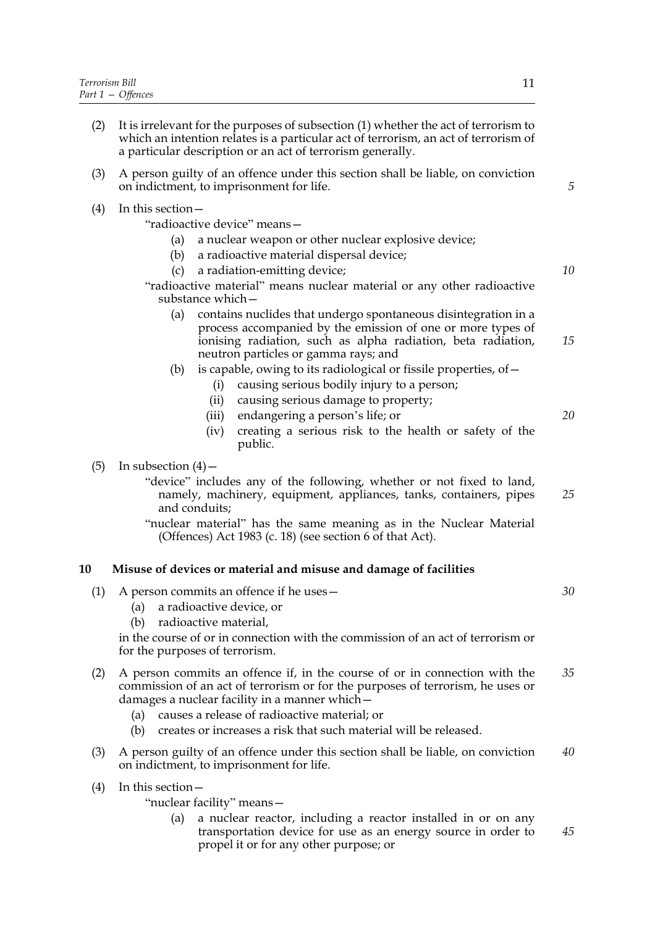- (2) It is irrelevant for the purposes of subsection (1) whether the act of terrorism to which an intention relates is a particular act of terrorism, an act of terrorism of a particular description or an act of terrorism generally. (3) A person guilty of an offence under this section shall be liable, on conviction on indictment, to imprisonment for life. (4) In this section— "radioactive device" means— (a) a nuclear weapon or other nuclear explosive device; (b) a radioactive material dispersal device; (c) a radiation-emitting device; "radioactive material" means nuclear material or any other radioactive substance which— (a) contains nuclides that undergo spontaneous disintegration in a process accompanied by the emission of one or more types of ionising radiation, such as alpha radiation, beta radiation, neutron particles or gamma rays; and (b) is capable, owing to its radiological or fissile properties, of  $-$ (i) causing serious bodily injury to a person; (ii) causing serious damage to property; (iii) endangering a person's life; or *10 15 20*
	- (iv) creating a serious risk to the health or safety of the public.

#### (5) In subsection  $(4)$  –

- "device" includes any of the following, whether or not fixed to land, namely, machinery, equipment, appliances, tanks, containers, pipes and conduits; *25*
- "nuclear material" has the same meaning as in the Nuclear Material (Offences) Act 1983 (c. 18) (see section 6 of that Act).

#### **10 Misuse of devices or material and misuse and damage of facilities**

| (1) | A person commits an offence if he uses -<br>a radioactive device, or<br>(a)<br>radioactive material,<br>(b)                                                                                                                                                                                                                                      | 30 |  |  |
|-----|--------------------------------------------------------------------------------------------------------------------------------------------------------------------------------------------------------------------------------------------------------------------------------------------------------------------------------------------------|----|--|--|
|     | in the course of or in connection with the commission of an act of terrorism or<br>for the purposes of terrorism.                                                                                                                                                                                                                                |    |  |  |
| (2) | A person commits an offence if, in the course of or in connection with the<br>commission of an act of terrorism or for the purposes of terrorism, he uses or<br>damages a nuclear facility in a manner which -<br>causes a release of radioactive material; or<br>(a)<br>creates or increases a risk that such material will be released.<br>(b) | 35 |  |  |
| (3) | A person guilty of an offence under this section shall be liable, on conviction<br>on indictment, to imprisonment for life.                                                                                                                                                                                                                      | 40 |  |  |
| (4) | In this section $-$<br>"nuclear facility" means-<br>a nuclear reactor, including a reactor installed in or on any<br>(a)<br>transportation device for use as an energy source in order to<br>propel it or for any other purpose; or                                                                                                              | 45 |  |  |

*5*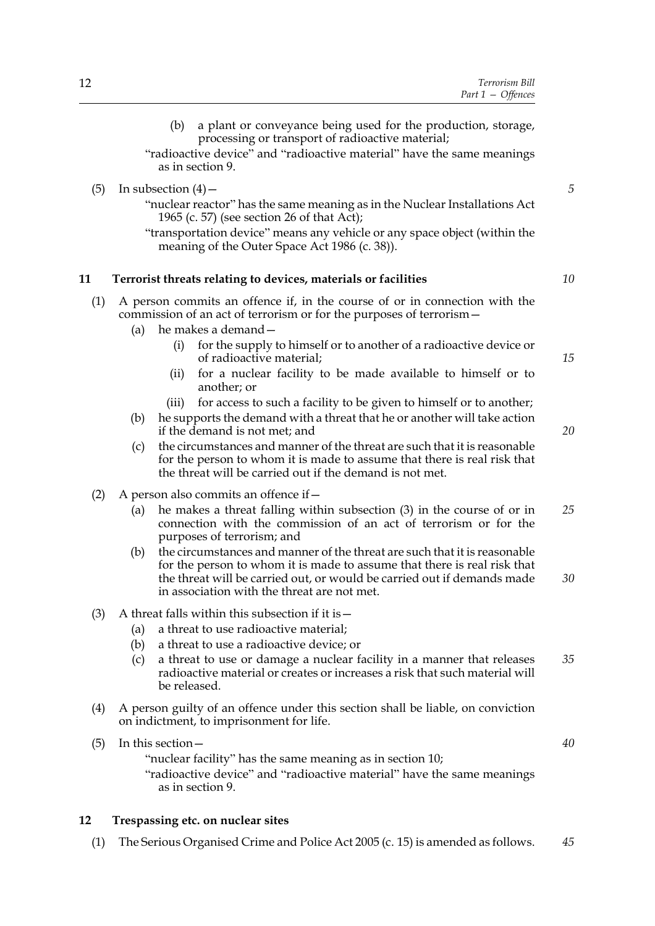- (b) a plant or conveyance being used for the production, storage, processing or transport of radioactive material;
- "radioactive device" and "radioactive material" have the same meanings as in section 9.
- (5) In subsection  $(4)$  -
	- "nuclear reactor" has the same meaning as in the Nuclear Installations Act 1965 (c. 57) (see section 26 of that Act);
	- "transportation device" means any vehicle or any space object (within the meaning of the Outer Space Act 1986 (c. 38)).

#### **11 Terrorist threats relating to devices, materials or facilities**

- (1) A person commits an offence if, in the course of or in connection with the commission of an act of terrorism or for the purposes of terrorism—
	- (a) he makes a demand—
		- (i) for the supply to himself or to another of a radioactive device or of radioactive material;
		- (ii) for a nuclear facility to be made available to himself or to another; or
		- (iii) for access to such a facility to be given to himself or to another;
	- (b) he supports the demand with a threat that he or another will take action if the demand is not met; and
	- (c) the circumstances and manner of the threat are such that it is reasonable for the person to whom it is made to assume that there is real risk that the threat will be carried out if the demand is not met.
- (2) A person also commits an offence if  $-$ 
	- (a) he makes a threat falling within subsection (3) in the course of or in connection with the commission of an act of terrorism or for the purposes of terrorism; and *25*
	- (b) the circumstances and manner of the threat are such that it is reasonable for the person to whom it is made to assume that there is real risk that the threat will be carried out, or would be carried out if demands made in association with the threat are not met. *30*
- (3) A threat falls within this subsection if it is—
	- (a) a threat to use radioactive material;
	- (b) a threat to use a radioactive device; or
	- (c) a threat to use or damage a nuclear facility in a manner that releases radioactive material or creates or increases a risk that such material will be released. *35*
- (4) A person guilty of an offence under this section shall be liable, on conviction on indictment, to imprisonment for life.
- (5) In this section— "nuclear facility" has the same meaning as in section 10; "radioactive device" and "radioactive material" have the same meanings as in section 9.

#### **12 Trespassing etc. on nuclear sites**

(1) The Serious Organised Crime and Police Act 2005 (c. 15) is amended as follows. *45*

*5*

*10*

*15*

*20*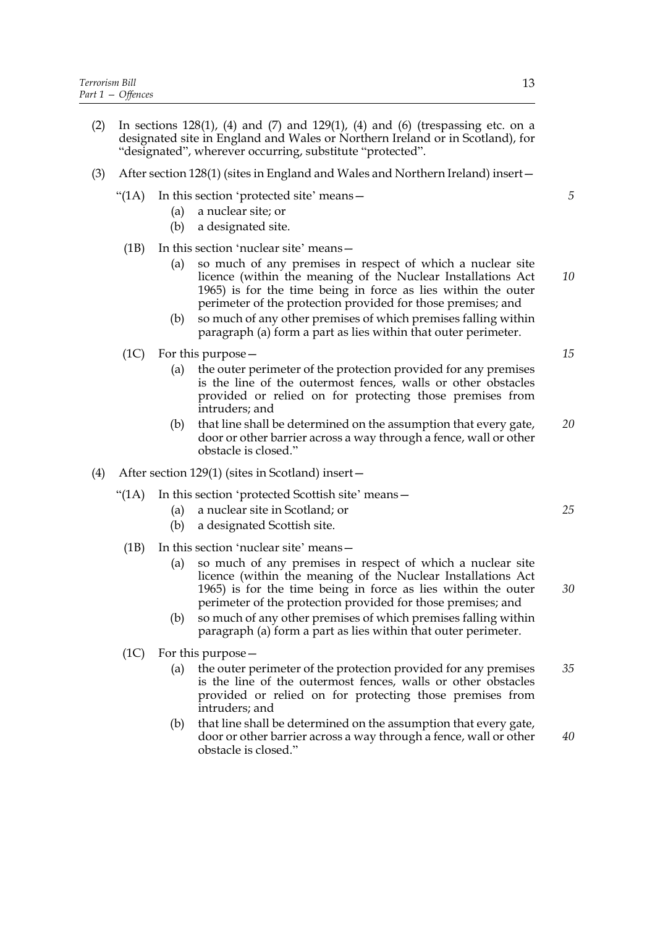- (2) In sections 128(1), (4) and (7) and 129(1), (4) and (6) (trespassing etc. on a designated site in England and Wales or Northern Ireland or in Scotland), for "designated", wherever occurring, substitute "protected".
- (3) After section 128(1) (sites in England and Wales and Northern Ireland) insert—
	- "(1A) In this section 'protected site' means—
		- (a) a nuclear site; or
		- (b) a designated site.
	- (1B) In this section 'nuclear site' means—
		- (a) so much of any premises in respect of which a nuclear site licence (within the meaning of the Nuclear Installations Act 1965) is for the time being in force as lies within the outer perimeter of the protection provided for those premises; and *10*
		- (b) so much of any other premises of which premises falling within paragraph (a) form a part as lies within that outer perimeter.
	- (1C) For this purpose—
		- (a) the outer perimeter of the protection provided for any premises is the line of the outermost fences, walls or other obstacles provided or relied on for protecting those premises from intruders; and
		- (b) that line shall be determined on the assumption that every gate, door or other barrier across a way through a fence, wall or other obstacle is closed." *20*
- (4) After section 129(1) (sites in Scotland) insert—
	- "(1A) In this section 'protected Scottish site' means—
		- (a) a nuclear site in Scotland; or
		- (b) a designated Scottish site.
		- (1B) In this section 'nuclear site' means—
			- (a) so much of any premises in respect of which a nuclear site licence (within the meaning of the Nuclear Installations Act 1965) is for the time being in force as lies within the outer perimeter of the protection provided for those premises; and
			- (b) so much of any other premises of which premises falling within paragraph (a) form a part as lies within that outer perimeter.
		- (1C) For this purpose—
			- (a) the outer perimeter of the protection provided for any premises is the line of the outermost fences, walls or other obstacles provided or relied on for protecting those premises from intruders; and *35*
			- (b) that line shall be determined on the assumption that every gate, door or other barrier across a way through a fence, wall or other obstacle is closed." *40*

*15*

*5*

*30*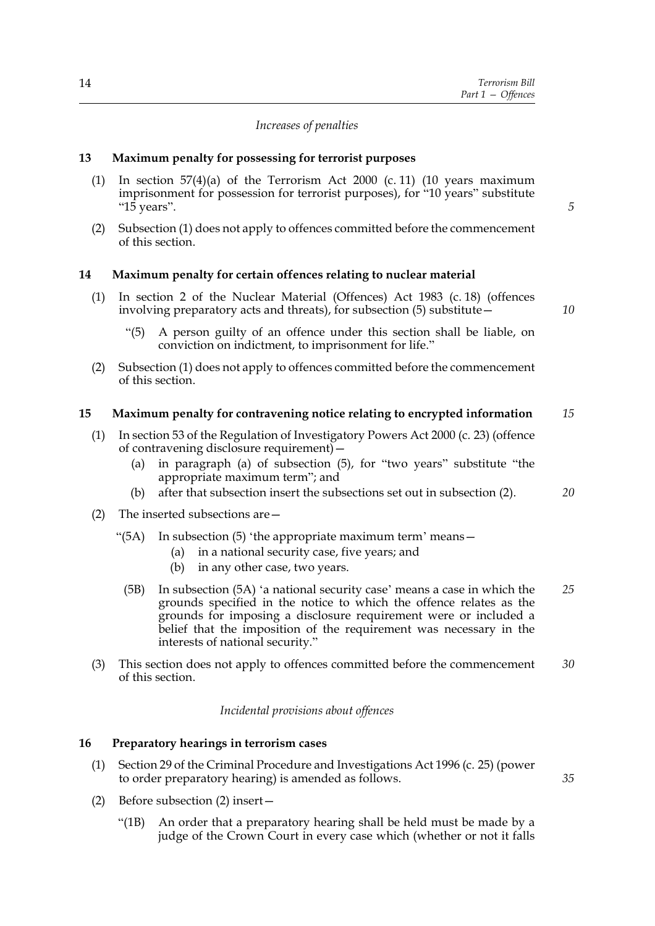#### *Increases of penalties*

#### **13 Maximum penalty for possessing for terrorist purposes**

- (1) In section  $57(4)(a)$  of the Terrorism Act 2000 (c. 11) (10 years maximum imprisonment for possession for terrorist purposes), for "10 years" substitute "15 years".
- (2) Subsection (1) does not apply to offences committed before the commencement of this section.

#### **14 Maximum penalty for certain offences relating to nuclear material**

- (1) In section 2 of the Nuclear Material (Offences) Act 1983 (c. 18) (offences involving preparatory acts and threats), for subsection (5) substitute—
	- "(5) A person guilty of an offence under this section shall be liable, on conviction on indictment, to imprisonment for life."
- (2) Subsection (1) does not apply to offences committed before the commencement of this section.

#### **15 Maximum penalty for contravening notice relating to encrypted information** *15*

- (1) In section 53 of the Regulation of Investigatory Powers Act 2000 (c. 23) (offence of contravening disclosure requirement)—
	- (a) in paragraph (a) of subsection (5), for "two years" substitute "the appropriate maximum term"; and
	- (b) after that subsection insert the subsections set out in subsection (2).
- (2) The inserted subsections are—
	- " $(5A)$  In subsection  $(5)$  'the appropriate maximum term' means -
		- (a) in a national security case, five years; and
		- (b) in any other case, two years.
	- (5B) In subsection (5A) 'a national security case' means a case in which the grounds specified in the notice to which the offence relates as the grounds for imposing a disclosure requirement were or included a belief that the imposition of the requirement was necessary in the interests of national security." *25*
- (3) This section does not apply to offences committed before the commencement of this section. *30*

*Incidental provisions about offences*

#### **16 Preparatory hearings in terrorism cases**

- (1) Section 29 of the Criminal Procedure and Investigations Act 1996 (c. 25) (power to order preparatory hearing) is amended as follows.
- (2) Before subsection (2) insert—
	- "(1B) An order that a preparatory hearing shall be held must be made by a judge of the Crown Court in every case which (whether or not it falls

*10*

*20*

*35*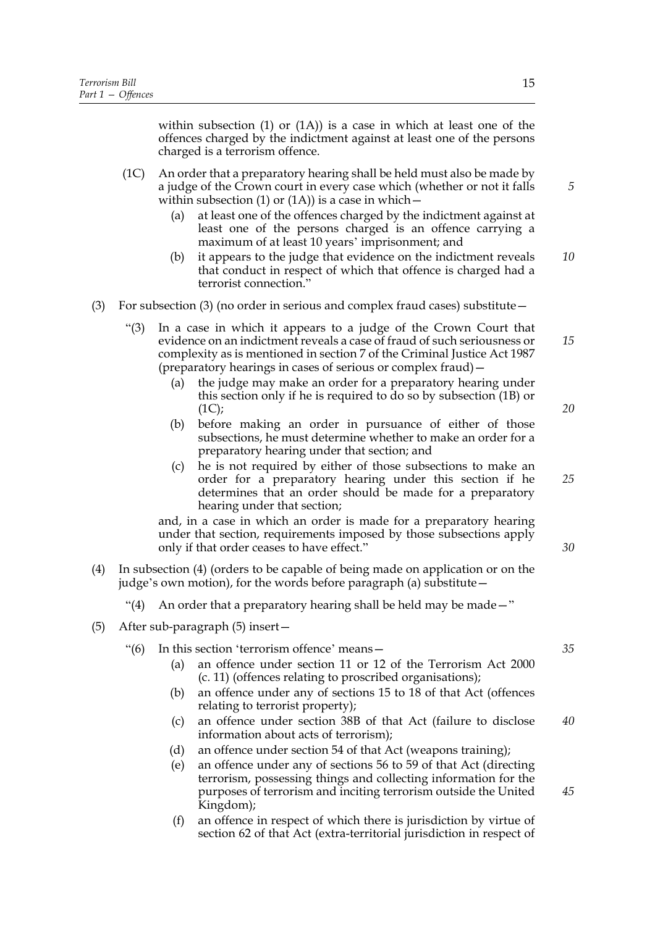within subsection (1) or (1A)) is a case in which at least one of the offences charged by the indictment against at least one of the persons charged is a terrorism offence.

- (1C) An order that a preparatory hearing shall be held must also be made by a judge of the Crown court in every case which (whether or not it falls within subsection (1) or (1A)) is a case in which  $-$ 
	- (a) at least one of the offences charged by the indictment against at least one of the persons charged is an offence carrying a maximum of at least 10 years' imprisonment; and
	- (b) it appears to the judge that evidence on the indictment reveals that conduct in respect of which that offence is charged had a terrorist connection." *10*
- (3) For subsection (3) (no order in serious and complex fraud cases) substitute—
	- "(3) In a case in which it appears to a judge of the Crown Court that evidence on an indictment reveals a case of fraud of such seriousness or complexity as is mentioned in section 7 of the Criminal Justice Act 1987 (preparatory hearings in cases of serious or complex fraud)— *15*
		- (a) the judge may make an order for a preparatory hearing under this section only if he is required to do so by subsection (1B) or  $(1C)$ ;
		- (b) before making an order in pursuance of either of those subsections, he must determine whether to make an order for a preparatory hearing under that section; and
		- (c) he is not required by either of those subsections to make an order for a preparatory hearing under this section if he determines that an order should be made for a preparatory hearing under that section;

and, in a case in which an order is made for a preparatory hearing under that section, requirements imposed by those subsections apply only if that order ceases to have effect."

- (4) In subsection (4) (orders to be capable of being made on application or on the judge's own motion), for the words before paragraph (a) substitute—
	- "(4) An order that a preparatory hearing shall be held may be made  $-$ "
- (5) After sub-paragraph (5) insert—
	- "(6) In this section 'terrorism offence' means—
		- (a) an offence under section 11 or 12 of the Terrorism Act 2000 (c. 11) (offences relating to proscribed organisations);
		- (b) an offence under any of sections 15 to 18 of that Act (offences relating to terrorist property);
		- (c) an offence under section 38B of that Act (failure to disclose information about acts of terrorism); *40*
		- (d) an offence under section 54 of that Act (weapons training);
		- (e) an offence under any of sections 56 to 59 of that Act (directing terrorism, possessing things and collecting information for the purposes of terrorism and inciting terrorism outside the United Kingdom); *45*
		- (f) an offence in respect of which there is jurisdiction by virtue of section 62 of that Act (extra-territorial jurisdiction in respect of

*5*

*20*

*25*

*30*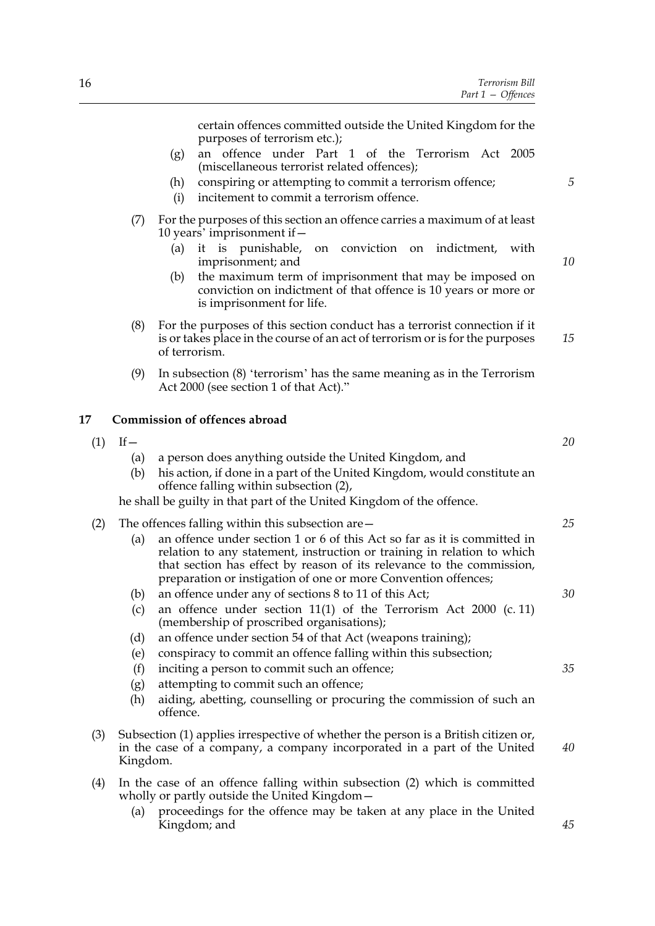certain offences committed outside the United Kingdom for the purposes of terrorism etc.);

- (g) an offence under Part 1 of the Terrorism Act 2005 (miscellaneous terrorist related offences);
- (h) conspiring or attempting to commit a terrorism offence;
- (i) incitement to commit a terrorism offence.
- (7) For the purposes of this section an offence carries a maximum of at least 10 years' imprisonment if—
	- (a) it is punishable, on conviction on indictment, with imprisonment; and
	- (b) the maximum term of imprisonment that may be imposed on conviction on indictment of that offence is 10 years or more or is imprisonment for life.
- (8) For the purposes of this section conduct has a terrorist connection if it is or takes place in the course of an act of terrorism or is for the purposes of terrorism. *15*
- (9) In subsection (8) 'terrorism' has the same meaning as in the Terrorism Act 2000 (see section 1 of that Act)."

#### **17 Commission of offences abroad**

- $(1)$  If
	- (a) a person does anything outside the United Kingdom, and
	- (b) his action, if done in a part of the United Kingdom, would constitute an offence falling within subsection (2),

he shall be guilty in that part of the United Kingdom of the offence.

| (2) |  | The offences falling within this subsection are - |
|-----|--|---------------------------------------------------|
|     |  |                                                   |

- (a) an offence under section 1 or 6 of this Act so far as it is committed in relation to any statement, instruction or training in relation to which that section has effect by reason of its relevance to the commission, preparation or instigation of one or more Convention offences;
- (b) an offence under any of sections 8 to 11 of this Act;
- (c) an offence under section 11(1) of the Terrorism Act 2000 (c. 11) (membership of proscribed organisations);
- (d) an offence under section 54 of that Act (weapons training);
- (e) conspiracy to commit an offence falling within this subsection;
- (f) inciting a person to commit such an offence;
- (g) attempting to commit such an offence;
- (h) aiding, abetting, counselling or procuring the commission of such an offence.
- (3) Subsection (1) applies irrespective of whether the person is a British citizen or, in the case of a company, a company incorporated in a part of the United Kingdom. *40*
- (4) In the case of an offence falling within subsection (2) which is committed wholly or partly outside the United Kingdom—
	- (a) proceedings for the offence may be taken at any place in the United Kingdom; and

*10*

*5*

*20*

*25*

*30*

*35*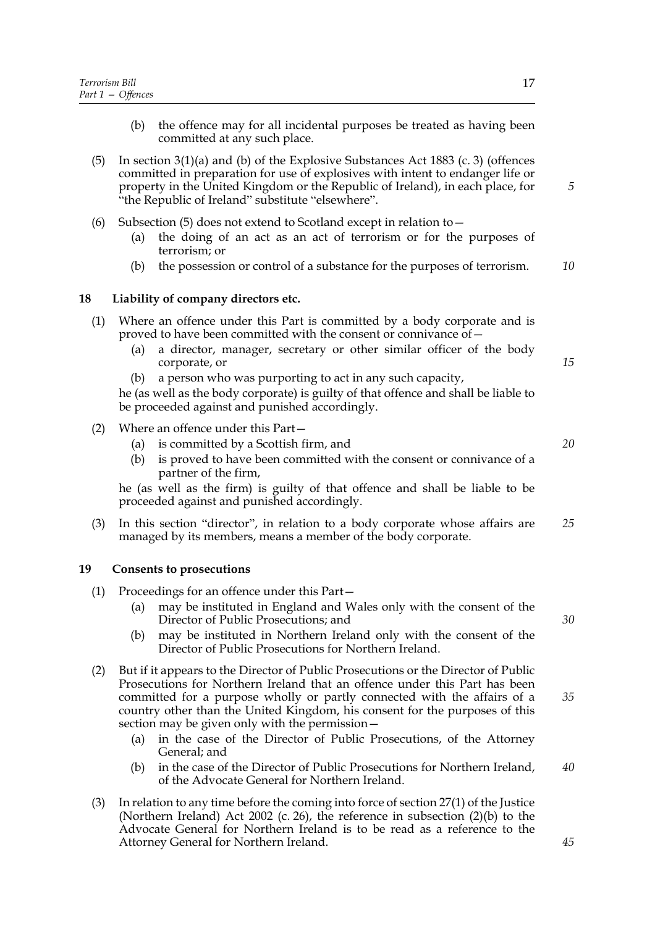- (b) the offence may for all incidental purposes be treated as having been committed at any such place.
- (5) In section 3(1)(a) and (b) of the Explosive Substances Act 1883 (c. 3) (offences committed in preparation for use of explosives with intent to endanger life or property in the United Kingdom or the Republic of Ireland), in each place, for "the Republic of Ireland" substitute "elsewhere".
- (6) Subsection (5) does not extend to Scotland except in relation to—
	- (a) the doing of an act as an act of terrorism or for the purposes of terrorism; or
	- (b) the possession or control of a substance for the purposes of terrorism. *10*

#### **18 Liability of company directors etc.**

- (1) Where an offence under this Part is committed by a body corporate and is proved to have been committed with the consent or connivance of—
	- (a) a director, manager, secretary or other similar officer of the body corporate, or
	- (b) a person who was purporting to act in any such capacity,

he (as well as the body corporate) is guilty of that offence and shall be liable to be proceeded against and punished accordingly.

- (2) Where an offence under this Part—
	- (a) is committed by a Scottish firm, and
	- (b) is proved to have been committed with the consent or connivance of a partner of the firm,

he (as well as the firm) is guilty of that offence and shall be liable to be proceeded against and punished accordingly.

(3) In this section "director", in relation to a body corporate whose affairs are managed by its members, means a member of the body corporate. *25*

#### **19 Consents to prosecutions**

- (1) Proceedings for an offence under this Part—
	- (a) may be instituted in England and Wales only with the consent of the Director of Public Prosecutions; and
	- (b) may be instituted in Northern Ireland only with the consent of the Director of Public Prosecutions for Northern Ireland.
- (2) But if it appears to the Director of Public Prosecutions or the Director of Public Prosecutions for Northern Ireland that an offence under this Part has been committed for a purpose wholly or partly connected with the affairs of a country other than the United Kingdom, his consent for the purposes of this section may be given only with the permission—
	- (a) in the case of the Director of Public Prosecutions, of the Attorney General; and
	- (b) in the case of the Director of Public Prosecutions for Northern Ireland, of the Advocate General for Northern Ireland.
- (3) In relation to any time before the coming into force of section 27(1) of the Justice (Northern Ireland) Act 2002 (c. 26), the reference in subsection (2)(b) to the Advocate General for Northern Ireland is to be read as a reference to the Attorney General for Northern Ireland.

*5*

*40*

*45*

*15*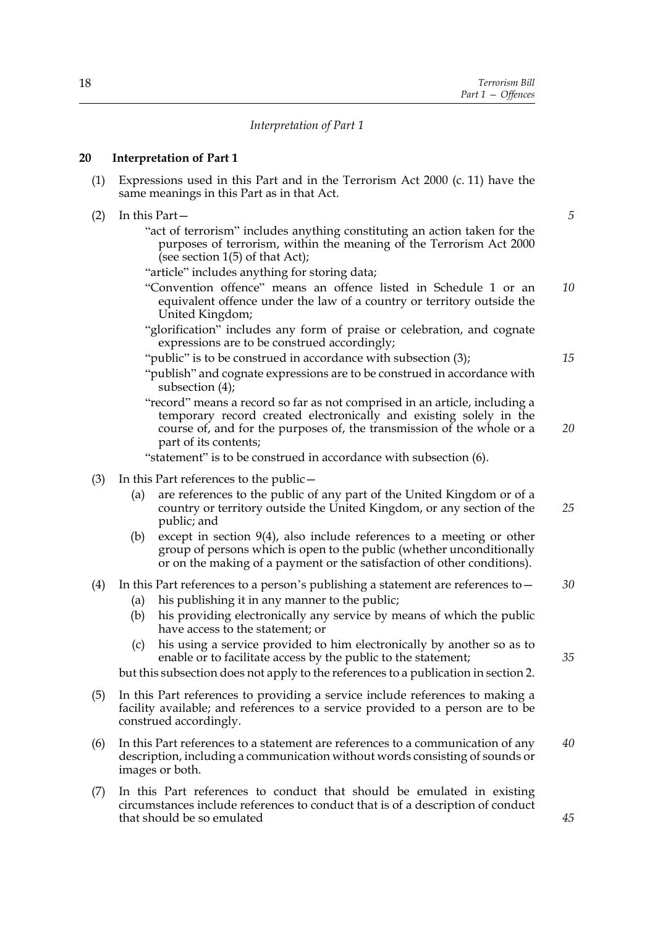#### *Interpretation of Part 1*

#### **20 Interpretation of Part 1**

- (1) Expressions used in this Part and in the Terrorism Act 2000 (c. 11) have the same meanings in this Part as in that Act.
- (2) In this Part—
	- "act of terrorism" includes anything constituting an action taken for the purposes of terrorism, within the meaning of the Terrorism Act 2000 (see section 1(5) of that Act);

"article" includes anything for storing data;

- "Convention offence" means an offence listed in Schedule 1 or an equivalent offence under the law of a country or territory outside the United Kingdom; *10*
- "glorification" includes any form of praise or celebration, and cognate expressions are to be construed accordingly;

"public" is to be construed in accordance with subsection (3);

- "publish" and cognate expressions are to be construed in accordance with subsection (4);
- "record" means a record so far as not comprised in an article, including a temporary record created electronically and existing solely in the course of, and for the purposes of, the transmission of the whole or a part of its contents;

"statement" is to be construed in accordance with subsection (6).

- (3) In this Part references to the public—
	- (a) are references to the public of any part of the United Kingdom or of a country or territory outside the United Kingdom, or any section of the public; and *25*
	- (b) except in section 9(4), also include references to a meeting or other group of persons which is open to the public (whether unconditionally or on the making of a payment or the satisfaction of other conditions).

#### (4) In this Part references to a person's publishing a statement are references to  $-$ *30*

- (a) his publishing it in any manner to the public;
- (b) his providing electronically any service by means of which the public have access to the statement; or
- (c) his using a service provided to him electronically by another so as to enable or to facilitate access by the public to the statement;

but this subsection does not apply to the references to a publication in section 2.

- (5) In this Part references to providing a service include references to making a facility available; and references to a service provided to a person are to be construed accordingly.
- (6) In this Part references to a statement are references to a communication of any description, including a communication without words consisting of sounds or images or both. *40*
- (7) In this Part references to conduct that should be emulated in existing circumstances include references to conduct that is of a description of conduct that should be so emulated

*5*

*20*

*15*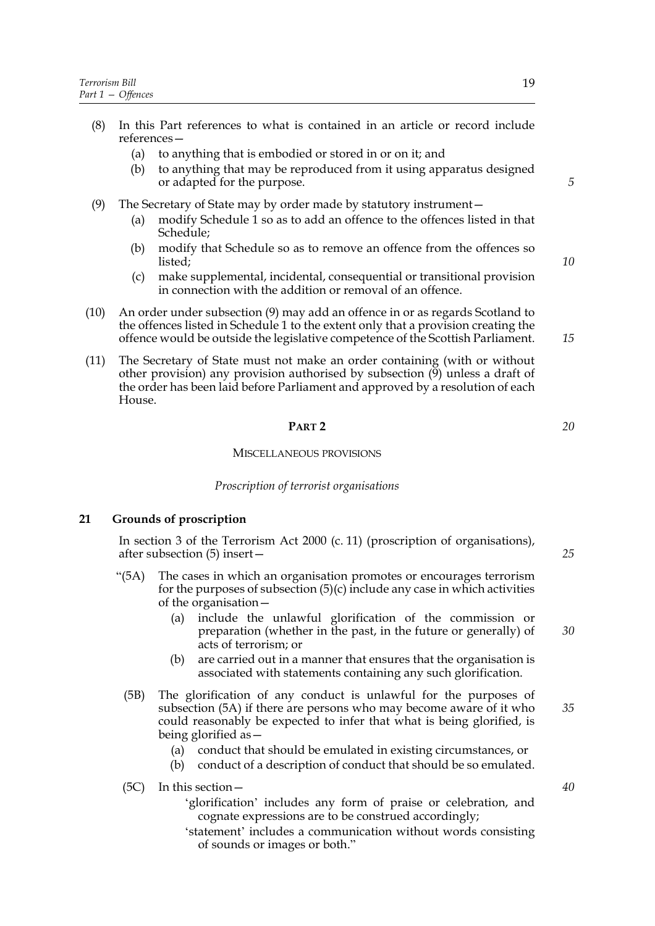- (8) In this Part references to what is contained in an article or record include references—
	- (a) to anything that is embodied or stored in or on it; and
	- (b) to anything that may be reproduced from it using apparatus designed or adapted for the purpose.
- (9) The Secretary of State may by order made by statutory instrument—
	- (a) modify Schedule 1 so as to add an offence to the offences listed in that Schedule;
	- (b) modify that Schedule so as to remove an offence from the offences so listed;
	- (c) make supplemental, incidental, consequential or transitional provision in connection with the addition or removal of an offence.
- (10) An order under subsection (9) may add an offence in or as regards Scotland to the offences listed in Schedule 1 to the extent only that a provision creating the offence would be outside the legislative competence of the Scottish Parliament.
- (11) The Secretary of State must not make an order containing (with or without other provision) any provision authorised by subsection  $(9)$  unless a draft of the order has been laid before Parliament and approved by a resolution of each House.

#### **PART 2**

#### MISCELLANEOUS PROVISIONS

#### *Proscription of terrorist organisations*

#### **21 Grounds of proscription**

In section 3 of the Terrorism Act 2000 (c. 11) (proscription of organisations), after subsection (5) insert—

- "(5A) The cases in which an organisation promotes or encourages terrorism for the purposes of subsection  $(5)(c)$  include any case in which activities of the organisation—
	- (a) include the unlawful glorification of the commission or preparation (whether in the past, in the future or generally) of acts of terrorism; or
	- (b) are carried out in a manner that ensures that the organisation is associated with statements containing any such glorification.
	- (5B) The glorification of any conduct is unlawful for the purposes of subsection (5A) if there are persons who may become aware of it who could reasonably be expected to infer that what is being glorified, is being glorified as—
		- (a) conduct that should be emulated in existing circumstances, or
		- (b) conduct of a description of conduct that should be so emulated.

(5C) In this section—

- 'glorification' includes any form of praise or celebration, and cognate expressions are to be construed accordingly;
- 'statement' includes a communication without words consisting of sounds or images or both."

*5*

*10*

*15*

*20*

*25*

*30*

*35*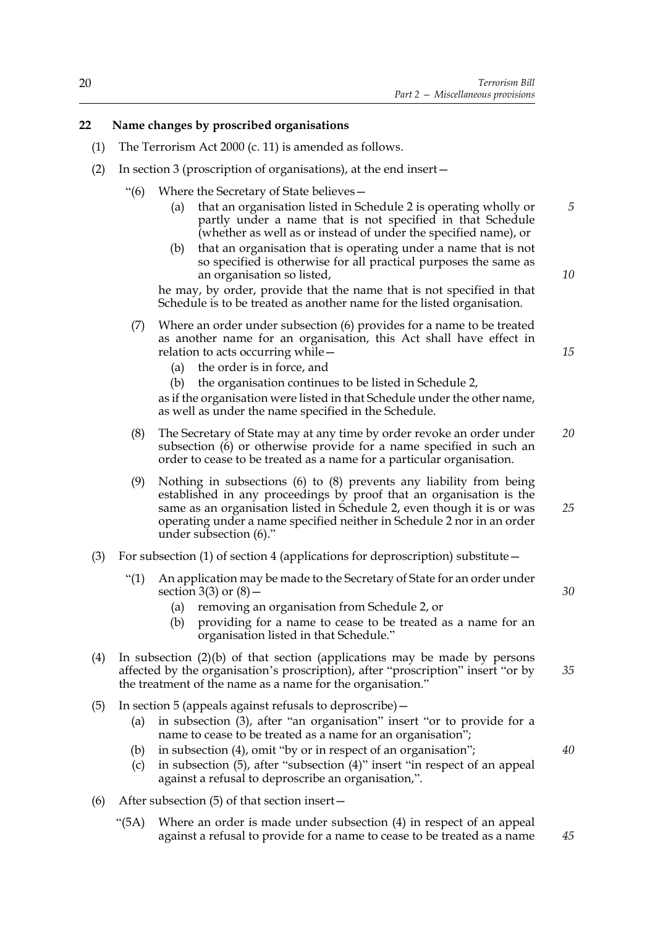#### **22 Name changes by proscribed organisations**

- (1) The Terrorism Act 2000 (c. 11) is amended as follows.
- (2) In section 3 (proscription of organisations), at the end insert—
	- "(6) Where the Secretary of State believes—
		- (a) that an organisation listed in Schedule 2 is operating wholly or partly under a name that is not specified in that Schedule (whether as well as or instead of under the specified name), or
		- (b) that an organisation that is operating under a name that is not so specified is otherwise for all practical purposes the same as an organisation so listed,

he may, by order, provide that the name that is not specified in that Schedule is to be treated as another name for the listed organisation.

- (7) Where an order under subsection (6) provides for a name to be treated as another name for an organisation, this Act shall have effect in relation to acts occurring while—
	- (a) the order is in force, and
	- (b) the organisation continues to be listed in Schedule 2,

as if the organisation were listed in that Schedule under the other name, as well as under the name specified in the Schedule.

- (8) The Secretary of State may at any time by order revoke an order under subsection (6) or otherwise provide for a name specified in such an order to cease to be treated as a name for a particular organisation. *20*
- (9) Nothing in subsections (6) to (8) prevents any liability from being established in any proceedings by proof that an organisation is the same as an organisation listed in Schedule 2, even though it is or was operating under a name specified neither in Schedule 2 nor in an order under subsection (6)."
- (3) For subsection (1) of section 4 (applications for deproscription) substitute—
	- "(1) An application may be made to the Secretary of State for an order under section  $3(3)$  or  $(8)$  –
		- (a) removing an organisation from Schedule 2, or
		- (b) providing for a name to cease to be treated as a name for an organisation listed in that Schedule."
- (4) In subsection (2)(b) of that section (applications may be made by persons affected by the organisation's proscription), after "proscription" insert "or by the treatment of the name as a name for the organisation."
- (5) In section 5 (appeals against refusals to deproscribe)—
	- (a) in subsection (3), after "an organisation" insert "or to provide for a name to cease to be treated as a name for an organisation";
	- (b) in subsection (4), omit "by or in respect of an organisation";
	- (c) in subsection (5), after "subsection (4)" insert "in respect of an appeal against a refusal to deproscribe an organisation,".
- (6) After subsection (5) of that section insert—
	- "(5A) Where an order is made under subsection (4) in respect of an appeal against a refusal to provide for a name to cease to be treated as a name *45*

*5*

*10*

*15*

*25*

*30*

*35*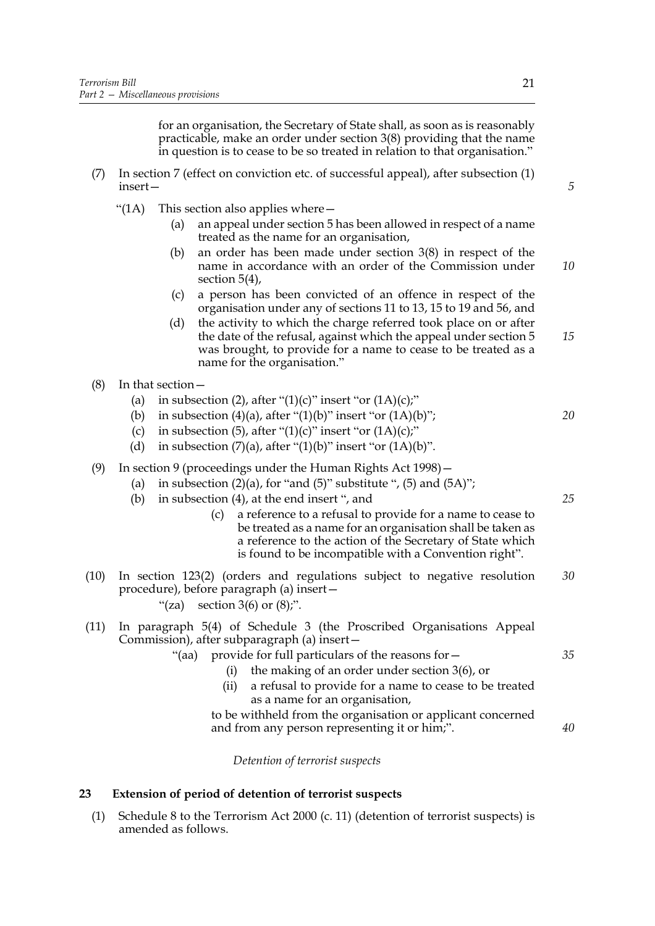for an organisation, the Secretary of State shall, as soon as is reasonably practicable, make an order under section 3(8) providing that the name in question is to cease to be so treated in relation to that organisation."

- (7) In section 7 (effect on conviction etc. of successful appeal), after subsection (1) insert—
	- "(1A) This section also applies where—
		- (a) an appeal under section 5 has been allowed in respect of a name treated as the name for an organisation,
		- (b) an order has been made under section 3(8) in respect of the name in accordance with an order of the Commission under section 5(4), *10*
		- (c) a person has been convicted of an offence in respect of the organisation under any of sections 11 to 13, 15 to 19 and 56, and
		- (d) the activity to which the charge referred took place on or after the date of the refusal, against which the appeal under section 5 was brought, to provide for a name to cease to be treated as a name for the organisation." *15*
- (8) In that section—
	- (a) in subsection (2), after " $(1)(c)$ " insert "or  $(1A)(c)$ ;"
	- (b) in subsection (4)(a), after " $(1)(b)$ " insert "or  $(1A)(b)$ ";
	- (c) in subsection (5), after " $(1)(c)$ " insert "or  $(1A)(c)$ ;"
	- (d) in subsection  $(7)(a)$ , after " $(1)(b)$ " insert "or  $(1A)(b)$ ".
- (9) In section 9 (proceedings under the Human Rights Act 1998)—
	- (a) in subsection  $(2)(a)$ , for "and  $(5)$ " substitute ",  $(5)$  and  $(5A)$ ";
	- (b) in subsection (4), at the end insert ", and
		- (c) a reference to a refusal to provide for a name to cease to be treated as a name for an organisation shall be taken as a reference to the action of the Secretary of State which is found to be incompatible with a Convention right".
- (10) In section 123(2) (orders and regulations subject to negative resolution procedure), before paragraph (a) insert— "(za) section  $3(6)$  or  $(8)$ ;". *30*
- (11) In paragraph 5(4) of Schedule 3 (the Proscribed Organisations Appeal Commission), after subparagraph (a) insert—
	- "(aa) provide for full particulars of the reasons for
		- the making of an order under section  $3(6)$ , or
		- (ii) a refusal to provide for a name to cease to be treated as a name for an organisation,
		- to be withheld from the organisation or applicant concerned and from any person representing it or him;".

*Detention of terrorist suspects*

#### **23 Extension of period of detention of terrorist suspects**

(1) Schedule 8 to the Terrorism Act 2000 (c. 11) (detention of terrorist suspects) is amended as follows.

*5*

*35*

*20*

*25*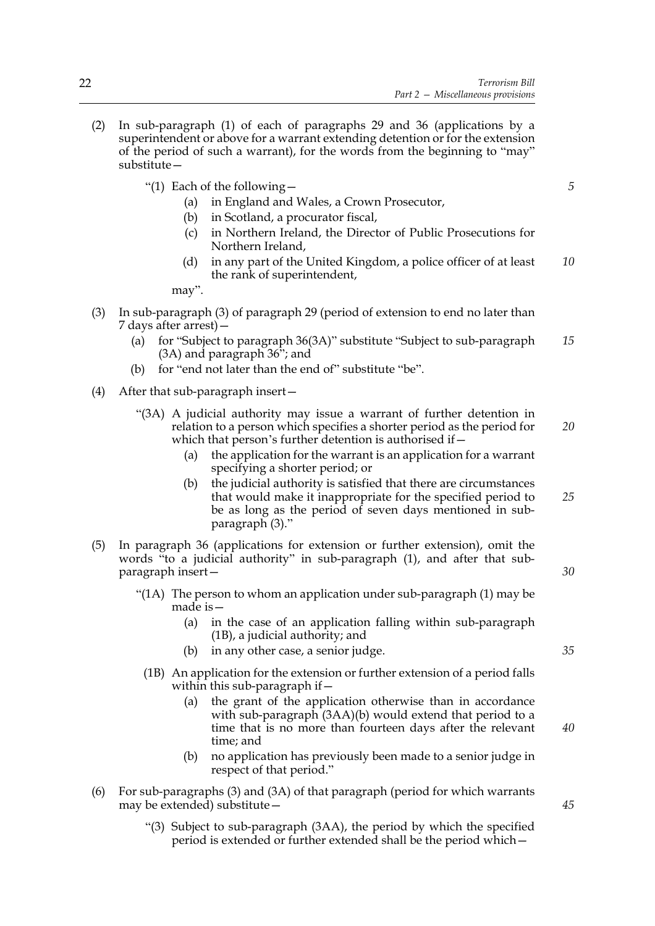- (2) In sub-paragraph (1) of each of paragraphs 29 and 36 (applications by a superintendent or above for a warrant extending detention or for the extension of the period of such a warrant), for the words from the beginning to "may" substitute—
	- "(1) Each of the following—
		- (a) in England and Wales, a Crown Prosecutor,
		- (b) in Scotland, a procurator fiscal,
		- (c) in Northern Ireland, the Director of Public Prosecutions for Northern Ireland,
		- (d) in any part of the United Kingdom, a police officer of at least the rank of superintendent, *10*

may".

- (3) In sub-paragraph (3) of paragraph 29 (period of extension to end no later than 7 days after arrest)—
	- (a) for "Subject to paragraph 36(3A)" substitute "Subject to sub-paragraph (3A) and paragraph 36"; and *15*
	- (b) for "end not later than the end of" substitute "be".
- (4) After that sub-paragraph insert—
	- "(3A) A judicial authority may issue a warrant of further detention in relation to a person which specifies a shorter period as the period for which that person's further detention is authorised if— *20*
		- (a) the application for the warrant is an application for a warrant specifying a shorter period; or
		- (b) the judicial authority is satisfied that there are circumstances that would make it inappropriate for the specified period to be as long as the period of seven days mentioned in subparagraph (3)." *25*
- (5) In paragraph 36 (applications for extension or further extension), omit the words "to a judicial authority" in sub-paragraph (1), and after that subparagraph insert—
	- "(1A) The person to whom an application under sub-paragraph (1) may be made is—
		- (a) in the case of an application falling within sub-paragraph (1B), a judicial authority; and
		- (b) in any other case, a senior judge.
		- (1B) An application for the extension or further extension of a period falls within this sub-paragraph if  $-$ 
			- (a) the grant of the application otherwise than in accordance with sub-paragraph (3AA)(b) would extend that period to a time that is no more than fourteen days after the relevant time; and
			- (b) no application has previously been made to a senior judge in respect of that period."
- (6) For sub-paragraphs (3) and (3A) of that paragraph (period for which warrants may be extended) substitute—
	- "(3) Subject to sub-paragraph (3AA), the period by which the specified period is extended or further extended shall be the period which—

*35*

*30*

*5*

*45*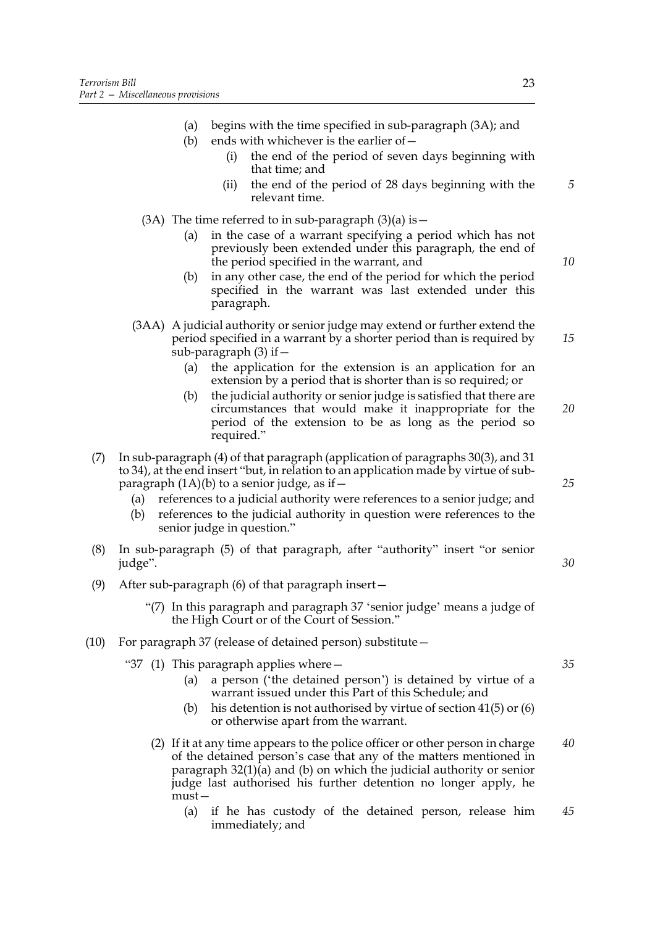- (a) begins with the time specified in sub-paragraph (3A); and
- (b) ends with whichever is the earlier of  $-$ 
	- (i) the end of the period of seven days beginning with that time; and
	- (ii) the end of the period of 28 days beginning with the relevant time.
- (3A) The time referred to in sub-paragraph  $(3)(a)$  is  $-$ 
	- (a) in the case of a warrant specifying a period which has not previously been extended under this paragraph, the end of the period specified in the warrant, and
	- (b) in any other case, the end of the period for which the period specified in the warrant was last extended under this paragraph.
- (3AA) A judicial authority or senior judge may extend or further extend the period specified in a warrant by a shorter period than is required by sub-paragraph  $(3)$  if  $-$ 
	- (a) the application for the extension is an application for an extension by a period that is shorter than is so required; or
	- (b) the judicial authority or senior judge is satisfied that there are circumstances that would make it inappropriate for the period of the extension to be as long as the period so required." *20*
- (7) In sub-paragraph (4) of that paragraph (application of paragraphs 30(3), and 31 to 34), at the end insert "but, in relation to an application made by virtue of subparagraph  $(1A)(b)$  to a senior judge, as if  $-$ 
	- (a) references to a judicial authority were references to a senior judge; and
	- (b) references to the judicial authority in question were references to the senior judge in question."
- (8) In sub-paragraph (5) of that paragraph, after "authority" insert "or senior judge".
- (9) After sub-paragraph (6) of that paragraph insert—
	- "(7) In this paragraph and paragraph 37 'senior judge' means a judge of the High Court or of the Court of Session."
- (10) For paragraph 37 (release of detained person) substitute—
	- "37 (1) This paragraph applies where—
		- (a) a person ('the detained person') is detained by virtue of a warrant issued under this Part of this Schedule; and
		- (b) his detention is not authorised by virtue of section 41(5) or (6) or otherwise apart from the warrant.
		- (2) If it at any time appears to the police officer or other person in charge of the detained person's case that any of the matters mentioned in paragraph 32(1)(a) and (b) on which the judicial authority or senior judge last authorised his further detention no longer apply, he must— *40*
			- (a) if he has custody of the detained person, release him immediately; and *45*

*5*

*10*

*15*

*25*

*30*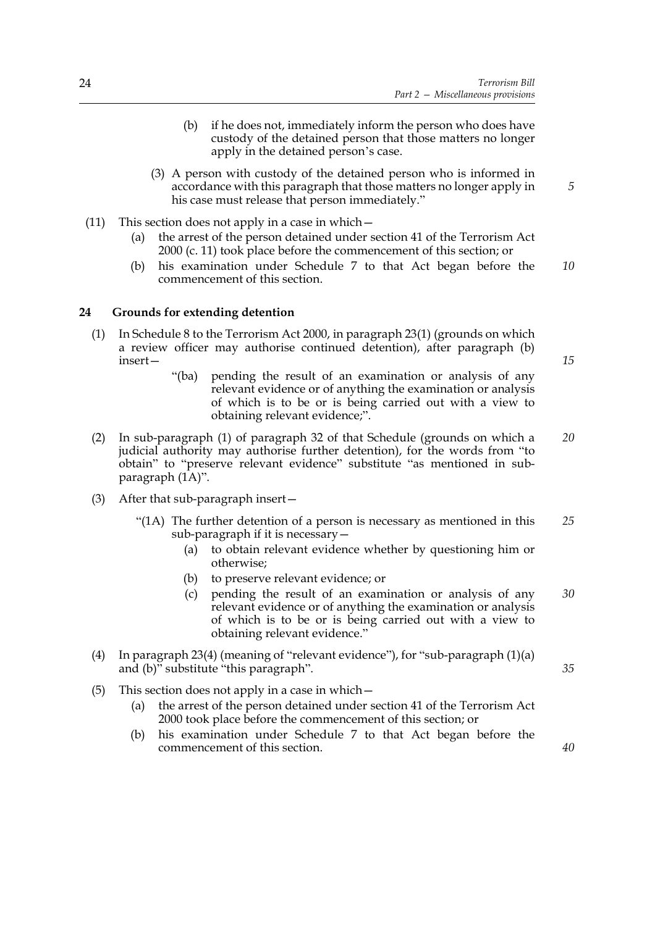- (b) if he does not, immediately inform the person who does have custody of the detained person that those matters no longer apply in the detained person's case.
- (3) A person with custody of the detained person who is informed in accordance with this paragraph that those matters no longer apply in his case must release that person immediately."
- (11) This section does not apply in a case in which—
	- (a) the arrest of the person detained under section 41 of the Terrorism Act 2000 (c. 11) took place before the commencement of this section; or
	- (b) his examination under Schedule 7 to that Act began before the commencement of this section. *10*

#### **24 Grounds for extending detention**

- (1) In Schedule 8 to the Terrorism Act 2000, in paragraph 23(1) (grounds on which a review officer may authorise continued detention), after paragraph (b) insert—
	- "(ba) pending the result of an examination or analysis of any relevant evidence or of anything the examination or analysis of which is to be or is being carried out with a view to obtaining relevant evidence;".
- (2) In sub-paragraph (1) of paragraph 32 of that Schedule (grounds on which a judicial authority may authorise further detention), for the words from "to obtain" to "preserve relevant evidence" substitute "as mentioned in subparagraph (1A)". *20*
- (3) After that sub-paragraph insert—
	- "(1A) The further detention of a person is necessary as mentioned in this sub-paragraph if it is necessary— *25*
		- (a) to obtain relevant evidence whether by questioning him or otherwise;
		- (b) to preserve relevant evidence; or
		- (c) pending the result of an examination or analysis of any relevant evidence or of anything the examination or analysis of which is to be or is being carried out with a view to obtaining relevant evidence." *30*
- (4) In paragraph 23(4) (meaning of "relevant evidence"), for "sub-paragraph (1)(a) and (b)" substitute "this paragraph".
- (5) This section does not apply in a case in which—
	- (a) the arrest of the person detained under section 41 of the Terrorism Act 2000 took place before the commencement of this section; or
	- (b) his examination under Schedule 7 to that Act began before the commencement of this section.

*15*

*35*

*40*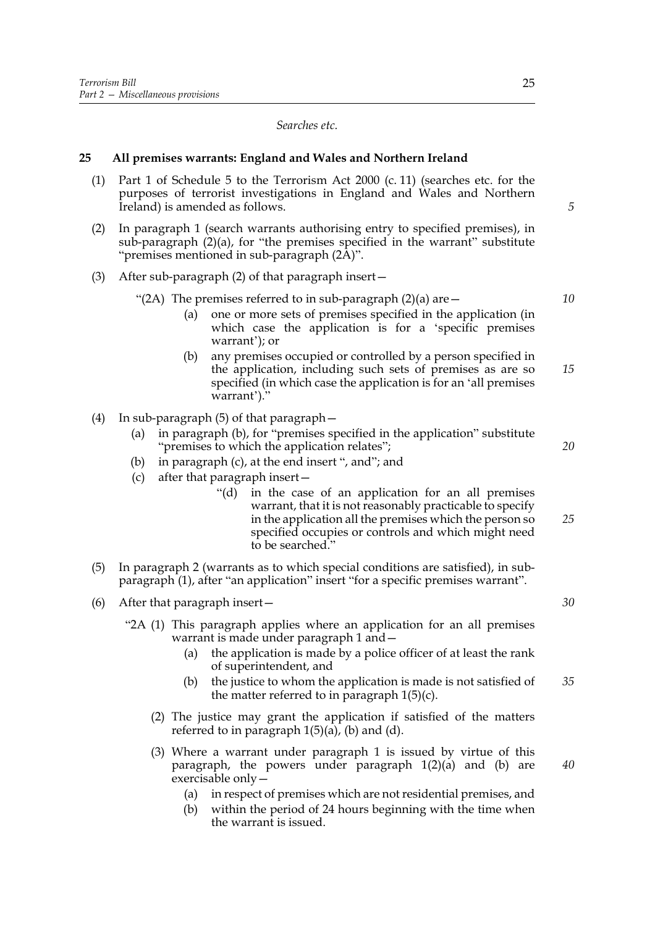*Searches etc.*

#### **25 All premises warrants: England and Wales and Northern Ireland**

- (1) Part 1 of Schedule 5 to the Terrorism Act 2000 (c. 11) (searches etc. for the purposes of terrorist investigations in England and Wales and Northern Ireland) is amended as follows.
- (2) In paragraph 1 (search warrants authorising entry to specified premises), in sub-paragraph (2)(a), for "the premises specified in the warrant" substitute "premises mentioned in sub-paragraph (2A)".
- (3) After sub-paragraph (2) of that paragraph insert—

"(2A) The premises referred to in sub-paragraph  $(2)(a)$  are  $-$ 

- (a) one or more sets of premises specified in the application (in which case the application is for a 'specific premises warrant'); or
- (b) any premises occupied or controlled by a person specified in the application, including such sets of premises as are so specified (in which case the application is for an 'all premises warrant')." *15*
- (4) In sub-paragraph (5) of that paragraph—
	- (a) in paragraph (b), for "premises specified in the application" substitute "premises to which the application relates";
	- (b) in paragraph (c), at the end insert ", and"; and
	- (c) after that paragraph insert—
		- "(d) in the case of an application for an all premises warrant, that it is not reasonably practicable to specify in the application all the premises which the person so specified occupies or controls and which might need to be searched."
- (5) In paragraph 2 (warrants as to which special conditions are satisfied), in subparagraph (1), after "an application" insert "for a specific premises warrant".
- (6) After that paragraph insert—
	- "2A (1) This paragraph applies where an application for an all premises warrant is made under paragraph 1 and—
		- (a) the application is made by a police officer of at least the rank of superintendent, and
		- (b) the justice to whom the application is made is not satisfied of the matter referred to in paragraph  $1(5)(c)$ . *35*
		- (2) The justice may grant the application if satisfied of the matters referred to in paragraph  $1(5)(a)$ , (b) and (d).
		- (3) Where a warrant under paragraph 1 is issued by virtue of this paragraph, the powers under paragraph 1(2)(a) and (b) are exercisable only—
			- (a) in respect of premises which are not residential premises, and
			- (b) within the period of 24 hours beginning with the time when the warrant is issued.

*5*

*10*

*20*

*25*

*30*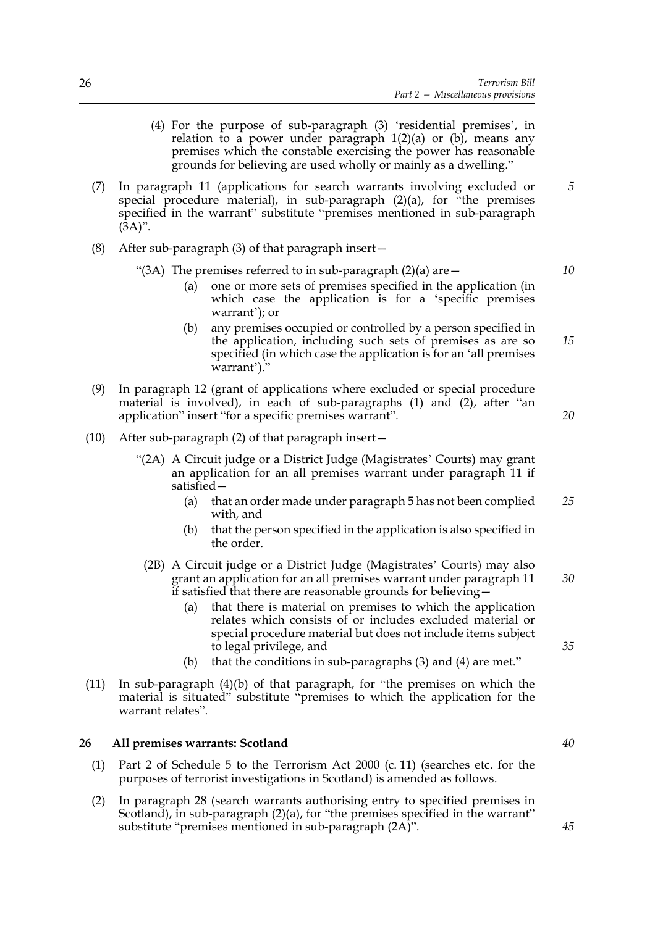- (4) For the purpose of sub-paragraph (3) 'residential premises', in relation to a power under paragraph  $1(2)(a)$  or  $(b)$ , means any premises which the constable exercising the power has reasonable grounds for believing are used wholly or mainly as a dwelling."
- (7) In paragraph 11 (applications for search warrants involving excluded or special procedure material), in sub-paragraph  $(2)(a)$ , for "the premises" specified in the warrant" substitute "premises mentioned in sub-paragraph  $(\bar{3}A)$ ". *5*
- (8) After sub-paragraph (3) of that paragraph insert—
	- "(3A) The premises referred to in sub-paragraph  $(2)(a)$  are  $-$ 
		- (a) one or more sets of premises specified in the application (in which case the application is for a 'specific premises warrant'); or
		- (b) any premises occupied or controlled by a person specified in the application, including such sets of premises as are so specified (in which case the application is for an 'all premises warrant')." *15*
- (9) In paragraph 12 (grant of applications where excluded or special procedure material is involved), in each of sub-paragraphs (1) and (2), after "an application" insert "for a specific premises warrant".
- (10) After sub-paragraph (2) of that paragraph insert—
	- "(2A) A Circuit judge or a District Judge (Magistrates' Courts) may grant an application for an all premises warrant under paragraph 11 if satisfied—
		- (a) that an order made under paragraph 5 has not been complied with, and *25*
		- (b) that the person specified in the application is also specified in the order.
		- (2B) A Circuit judge or a District Judge (Magistrates' Courts) may also grant an application for an all premises warrant under paragraph 11 if satisfied that there are reasonable grounds for believing—
			- (a) that there is material on premises to which the application relates which consists of or includes excluded material or special procedure material but does not include items subject to legal privilege, and
			- (b) that the conditions in sub-paragraphs (3) and (4) are met."
- (11) In sub-paragraph (4)(b) of that paragraph, for "the premises on which the material is situated" substitute "premises to which the application for the warrant relates".

#### **26 All premises warrants: Scotland**

- (1) Part 2 of Schedule 5 to the Terrorism Act 2000 (c. 11) (searches etc. for the purposes of terrorist investigations in Scotland) is amended as follows.
- (2) In paragraph 28 (search warrants authorising entry to specified premises in Scotland), in sub-paragraph (2)(a), for "the premises specified in the warrant" substitute "premises mentioned in sub-paragraph (2A)".

*40*

*10*

*20*

*30*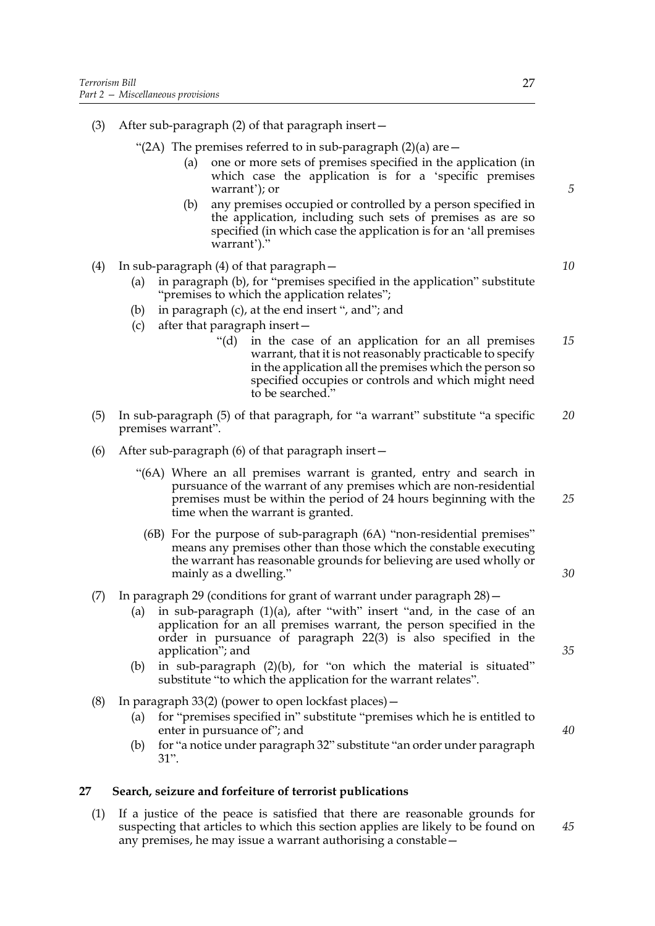- (3) After sub-paragraph (2) of that paragraph insert—
	- "(2A) The premises referred to in sub-paragraph  $(2)(a)$  are  $-$ 
		- (a) one or more sets of premises specified in the application (in which case the application is for a 'specific premises warrant'); or
		- (b) any premises occupied or controlled by a person specified in the application, including such sets of premises as are so specified (in which case the application is for an 'all premises warrant')."
- (4) In sub-paragraph (4) of that paragraph—
	- (a) in paragraph (b), for "premises specified in the application" substitute "premises to which the application relates";
	- (b) in paragraph (c), at the end insert ", and"; and
	- (c) after that paragraph insert—
		- "(d) in the case of an application for an all premises warrant, that it is not reasonably practicable to specify in the application all the premises which the person so specified occupies or controls and which might need to be searched." *15*
- (5) In sub-paragraph (5) of that paragraph, for "a warrant" substitute "a specific premises warrant". *20*
- (6) After sub-paragraph (6) of that paragraph insert—
	- "(6A) Where an all premises warrant is granted, entry and search in pursuance of the warrant of any premises which are non-residential premises must be within the period of 24 hours beginning with the time when the warrant is granted.
		- (6B) For the purpose of sub-paragraph (6A) "non-residential premises" means any premises other than those which the constable executing the warrant has reasonable grounds for believing are used wholly or mainly as a dwelling."

#### (7) In paragraph 29 (conditions for grant of warrant under paragraph 28)—

- (a) in sub-paragraph  $(1)(a)$ , after "with" insert "and, in the case of an application for an all premises warrant, the person specified in the order in pursuance of paragraph 22(3) is also specified in the application"; and
- (b) in sub-paragraph (2)(b), for "on which the material is situated" substitute "to which the application for the warrant relates".
- (8) In paragraph 33(2) (power to open lockfast places)—
	- (a) for "premises specified in" substitute "premises which he is entitled to enter in pursuance of"; and
	- (b) for "a notice under paragraph 32" substitute "an order under paragraph 31".

#### **27 Search, seizure and forfeiture of terrorist publications**

(1) If a justice of the peace is satisfied that there are reasonable grounds for suspecting that articles to which this section applies are likely to be found on any premises, he may issue a warrant authorising a constable*35*

*25*

*30*

*40*

*45*

*10*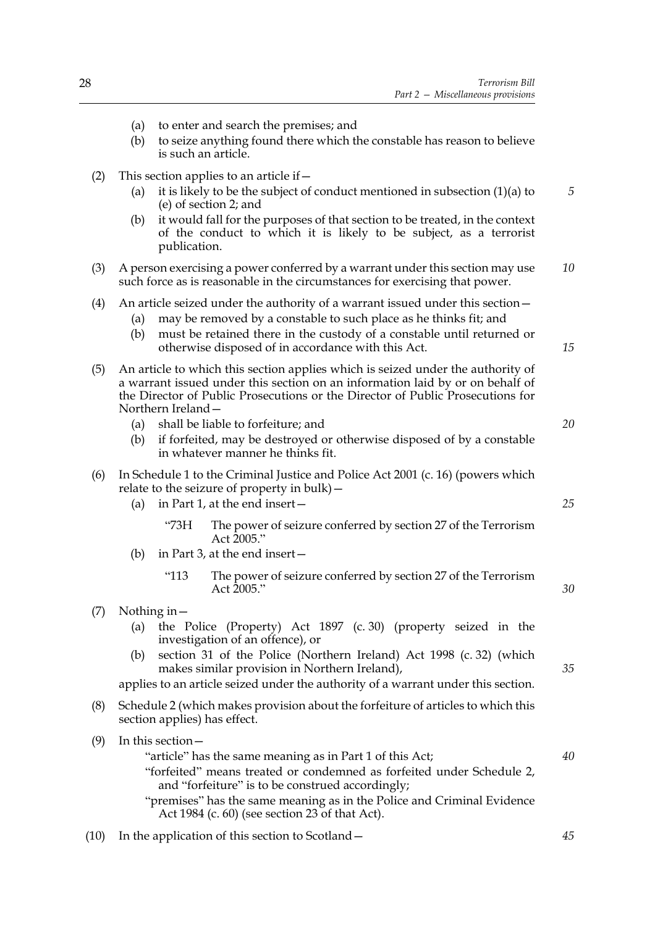*5*

*10*

*15*

*20*

*25*

*30*

*35*

*40*

- (a) to enter and search the premises; and (b) to seize anything found there which the constable has reason to believe is such an article. (2) This section applies to an article if  $-$ (a) it is likely to be the subject of conduct mentioned in subsection (1)(a) to (e) of section 2; and (b) it would fall for the purposes of that section to be treated, in the context of the conduct to which it is likely to be subject, as a terrorist publication. (3) A person exercising a power conferred by a warrant under this section may use such force as is reasonable in the circumstances for exercising that power. (4) An article seized under the authority of a warrant issued under this section— (a) may be removed by a constable to such place as he thinks fit; and (b) must be retained there in the custody of a constable until returned or otherwise disposed of in accordance with this Act. (5) An article to which this section applies which is seized under the authority of a warrant issued under this section on an information laid by or on behalf of the Director of Public Prosecutions or the Director of Public Prosecutions for Northern Ireland— (a) shall be liable to forfeiture; and (b) if forfeited, may be destroyed or otherwise disposed of by a constable in whatever manner he thinks fit. (6) In Schedule 1 to the Criminal Justice and Police Act 2001 (c. 16) (powers which relate to the seizure of property in bulk)—
	- (a) in Part 1, at the end insert—
		- "73H The power of seizure conferred by section 27 of the Terrorism Act 2005."
	- (b) in Part 3, at the end insert—
		- "113 The power of seizure conferred by section 27 of the Terrorism Act 2005."
- (7) Nothing in—
	- (a) the Police (Property) Act 1897 (c. 30) (property seized in the investigation of an offence), or
	- (b) section 31 of the Police (Northern Ireland) Act 1998 (c. 32) (which makes similar provision in Northern Ireland),

applies to an article seized under the authority of a warrant under this section.

- (8) Schedule 2 (which makes provision about the forfeiture of articles to which this section applies) has effect.
- (9) In this section—
	- "article" has the same meaning as in Part 1 of this Act; "forfeited" means treated or condemned as forfeited under Schedule 2, and "forfeiture" is to be construed accordingly;
	- "premises" has the same meaning as in the Police and Criminal Evidence Act 1984 (c. 60) (see section 23 of that Act).
- (10) In the application of this section to Scotland—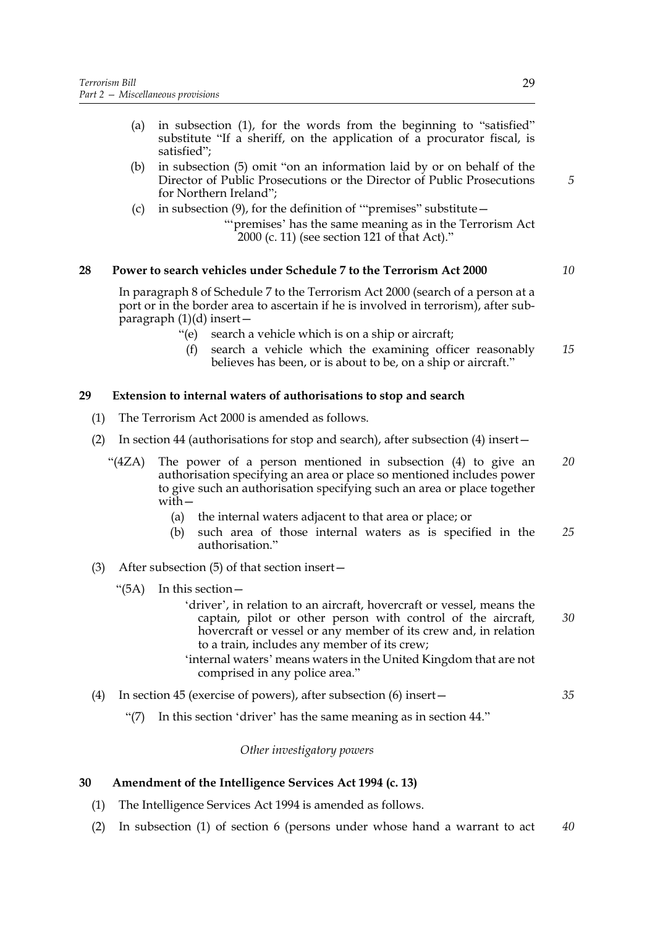- (a) in subsection (1), for the words from the beginning to "satisfied" substitute "If a sheriff, on the application of a procurator fiscal, is satisfied";
- (b) in subsection (5) omit "on an information laid by or on behalf of the Director of Public Prosecutions or the Director of Public Prosecutions for Northern Ireland";
- (c) in subsection (9), for the definition of '"premises" substitute—
	- "'premises' has the same meaning as in the Terrorism Act 2000 (c. 11) (see section 121 of that Act)."

#### **28 Power to search vehicles under Schedule 7 to the Terrorism Act 2000**

In paragraph 8 of Schedule 7 to the Terrorism Act 2000 (search of a person at a port or in the border area to ascertain if he is involved in terrorism), after sub $paragnh(1)(d)$  insert —

- "(e) search a vehicle which is on a ship or aircraft;
- (f) search a vehicle which the examining officer reasonably believes has been, or is about to be, on a ship or aircraft." *15*

#### **29 Extension to internal waters of authorisations to stop and search**

- (1) The Terrorism Act 2000 is amended as follows.
- (2) In section 44 (authorisations for stop and search), after subsection (4) insert—
	- "(4ZA) The power of a person mentioned in subsection (4) to give an authorisation specifying an area or place so mentioned includes power to give such an authorisation specifying such an area or place together with— *20*
		- (a) the internal waters adjacent to that area or place; or
		- (b) such area of those internal waters as is specified in the authorisation." *25*
- (3) After subsection (5) of that section insert—
	- "(5A) In this section—
		- 'driver', in relation to an aircraft, hovercraft or vessel, means the captain, pilot or other person with control of the aircraft, hovercraft or vessel or any member of its crew and, in relation to a train, includes any member of its crew; *30*
		- 'internal waters' means waters in the United Kingdom that are not comprised in any police area."
- (4) In section 45 (exercise of powers), after subsection (6) insert— *35*
	- "(7) In this section 'driver' has the same meaning as in section 44."

#### *Other investigatory powers*

#### **30 Amendment of the Intelligence Services Act 1994 (c. 13)**

- (1) The Intelligence Services Act 1994 is amended as follows.
- (2) In subsection (1) of section 6 (persons under whose hand a warrant to act *40*

*5*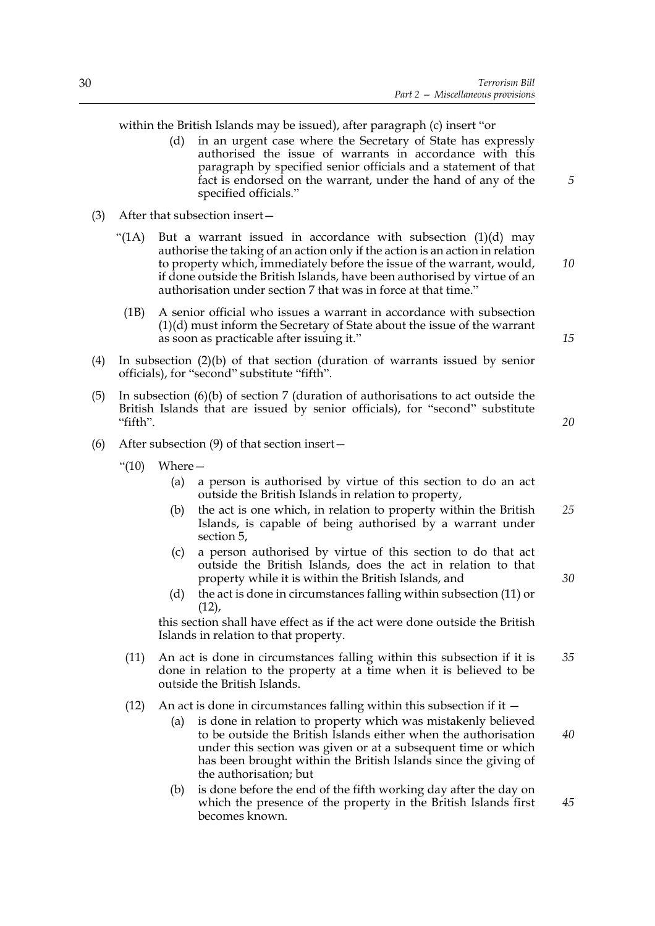within the British Islands may be issued), after paragraph (c) insert "or

- (d) in an urgent case where the Secretary of State has expressly authorised the issue of warrants in accordance with this paragraph by specified senior officials and a statement of that fact is endorsed on the warrant, under the hand of any of the specified officials."
- (3) After that subsection insert—
	- "(1A) But a warrant issued in accordance with subsection  $(1)(d)$  may authorise the taking of an action only if the action is an action in relation to property which, immediately before the issue of the warrant, would, if done outside the British Islands, have been authorised by virtue of an authorisation under section 7 that was in force at that time.'
	- (1B) A senior official who issues a warrant in accordance with subsection (1)(d) must inform the Secretary of State about the issue of the warrant as soon as practicable after issuing it."
- (4) In subsection (2)(b) of that section (duration of warrants issued by senior officials), for "second" substitute "fifth".
- (5) In subsection (6)(b) of section 7 (duration of authorisations to act outside the British Islands that are issued by senior officials), for "second" substitute "fifth".
- (6) After subsection (9) of that section insert—
	- " $(10)$  Where  $-$ 
		- (a) a person is authorised by virtue of this section to do an act outside the British Islands in relation to property,
		- (b) the act is one which, in relation to property within the British Islands, is capable of being authorised by a warrant under section 5, *25*
		- (c) a person authorised by virtue of this section to do that act outside the British Islands, does the act in relation to that property while it is within the British Islands, and
		- (d) the act is done in circumstances falling within subsection (11) or  $(12)$ ,

this section shall have effect as if the act were done outside the British Islands in relation to that property.

- (11) An act is done in circumstances falling within this subsection if it is done in relation to the property at a time when it is believed to be outside the British Islands. *35*
- (12) An act is done in circumstances falling within this subsection if it  $-$ 
	- (a) is done in relation to property which was mistakenly believed to be outside the British Islands either when the authorisation under this section was given or at a subsequent time or which has been brought within the British Islands since the giving of the authorisation; but
	- (b) is done before the end of the fifth working day after the day on which the presence of the property in the British Islands first becomes known.

30

*15*

*10*

*5*

*20*

*30*

*40*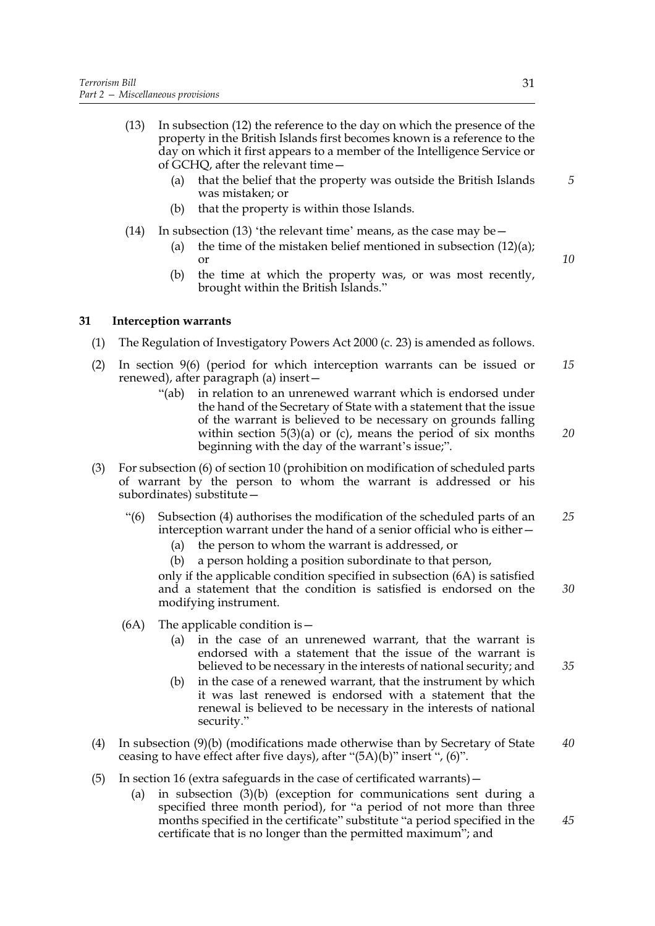- (13) In subsection (12) the reference to the day on which the presence of the property in the British Islands first becomes known is a reference to the day on which it first appears to a member of the Intelligence Service or of GCHQ, after the relevant time—
	- (a) that the belief that the property was outside the British Islands was mistaken; or
	- (b) that the property is within those Islands.
- (14) In subsection (13) 'the relevant time' means, as the case may be  $-$ 
	- (a) the time of the mistaken belief mentioned in subsection (12)(a); or
	- (b) the time at which the property was, or was most recently, brought within the British Islands."

#### **31 Interception warrants**

- (1) The Regulation of Investigatory Powers Act 2000 (c. 23) is amended as follows.
- (2) In section 9(6) (period for which interception warrants can be issued or renewed), after paragraph (a) insert— *15*
	- "(ab) in relation to an unrenewed warrant which is endorsed under the hand of the Secretary of State with a statement that the issue of the warrant is believed to be necessary on grounds falling within section  $5(3)(a)$  or (c), means the period of six months beginning with the day of the warrant's issue;".
- (3) For subsection (6) of section 10 (prohibition on modification of scheduled parts of warrant by the person to whom the warrant is addressed or his subordinates) substitute—
	- "(6) Subsection (4) authorises the modification of the scheduled parts of an interception warrant under the hand of a senior official who is either— *25*
		- (a) the person to whom the warrant is addressed, or
		- (b) a person holding a position subordinate to that person,

only if the applicable condition specified in subsection (6A) is satisfied and a statement that the condition is satisfied is endorsed on the modifying instrument.

- (6A) The applicable condition is  $-$ 
	- (a) in the case of an unrenewed warrant, that the warrant is endorsed with a statement that the issue of the warrant is believed to be necessary in the interests of national security; and
	- (b) in the case of a renewed warrant, that the instrument by which it was last renewed is endorsed with a statement that the renewal is believed to be necessary in the interests of national security."
- (4) In subsection (9)(b) (modifications made otherwise than by Secretary of State ceasing to have effect after five days), after "(5A)(b)" insert ", (6)". *40*
- (5) In section 16 (extra safeguards in the case of certificated warrants)—
	- (a) in subsection (3)(b) (exception for communications sent during a specified three month period), for "a period of not more than three months specified in the certificate" substitute "a period specified in the certificate that is no longer than the permitted maximum"; and

*10*

*5*

*20*

*35*

*45*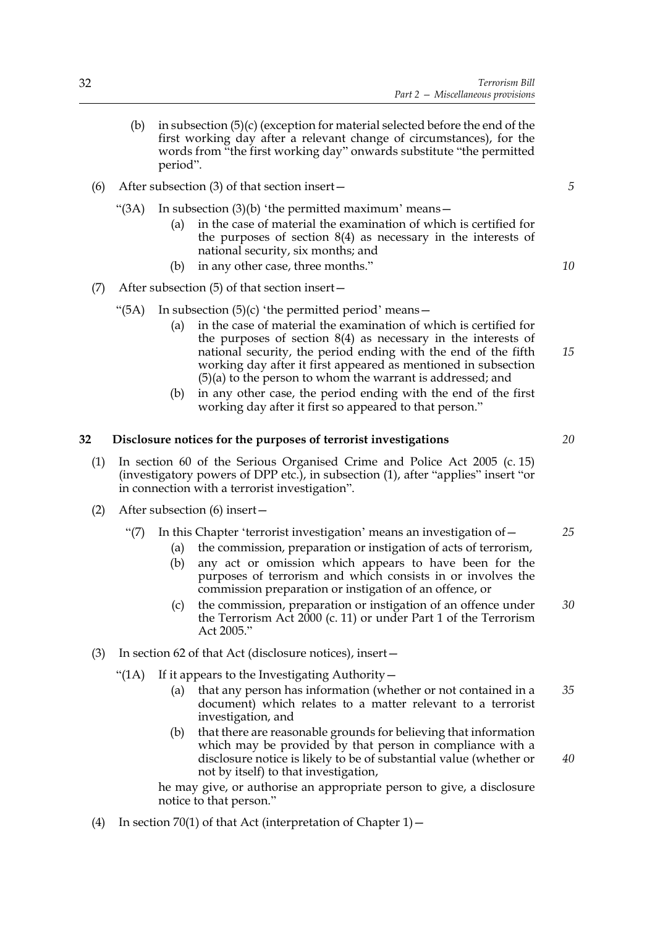- (b) in subsection (5)(c) (exception for material selected before the end of the first working day after a relevant change of circumstances), for the words from "the first working day" onwards substitute "the permitted period".
- (6) After subsection (3) of that section insert—
	- "(3A) In subsection  $(3)(b)$  'the permitted maximum' means -
		- (a) in the case of material the examination of which is certified for the purposes of section 8(4) as necessary in the interests of national security, six months; and
		- (b) in any other case, three months."
- (7) After subsection (5) of that section insert—
	- "(5A) In subsection  $(5)(c)$  'the permitted period' means  $-$ 
		- (a) in the case of material the examination of which is certified for the purposes of section 8(4) as necessary in the interests of national security, the period ending with the end of the fifth working day after it first appeared as mentioned in subsection (5)(a) to the person to whom the warrant is addressed; and *15*
		- (b) in any other case, the period ending with the end of the first working day after it first so appeared to that person."

#### **32 Disclosure notices for the purposes of terrorist investigations**

- (1) In section 60 of the Serious Organised Crime and Police Act 2005 (c. 15) (investigatory powers of DPP etc.), in subsection (1), after "applies" insert "or in connection with a terrorist investigation".
- (2) After subsection (6) insert—
	- "(7) In this Chapter 'terrorist investigation' means an investigation of  $-$ 
		- (a) the commission, preparation or instigation of acts of terrorism,
		- (b) any act or omission which appears to have been for the purposes of terrorism and which consists in or involves the commission preparation or instigation of an offence, or
		- (c) the commission, preparation or instigation of an offence under the Terrorism Act 2000 (c. 11) or under Part 1 of the Terrorism Act 2005." *30*
- (3) In section 62 of that Act (disclosure notices), insert—
	- "(1A) If it appears to the Investigating Authority-
		- (a) that any person has information (whether or not contained in a document) which relates to a matter relevant to a terrorist investigation, and *35*
		- (b) that there are reasonable grounds for believing that information which may be provided by that person in compliance with a disclosure notice is likely to be of substantial value (whether or not by itself) to that investigation,

he may give, or authorise an appropriate person to give, a disclosure notice to that person."

(4) In section 70(1) of that Act (interpretation of Chapter  $1$ ) –

*5*

*10*

*20*

*25*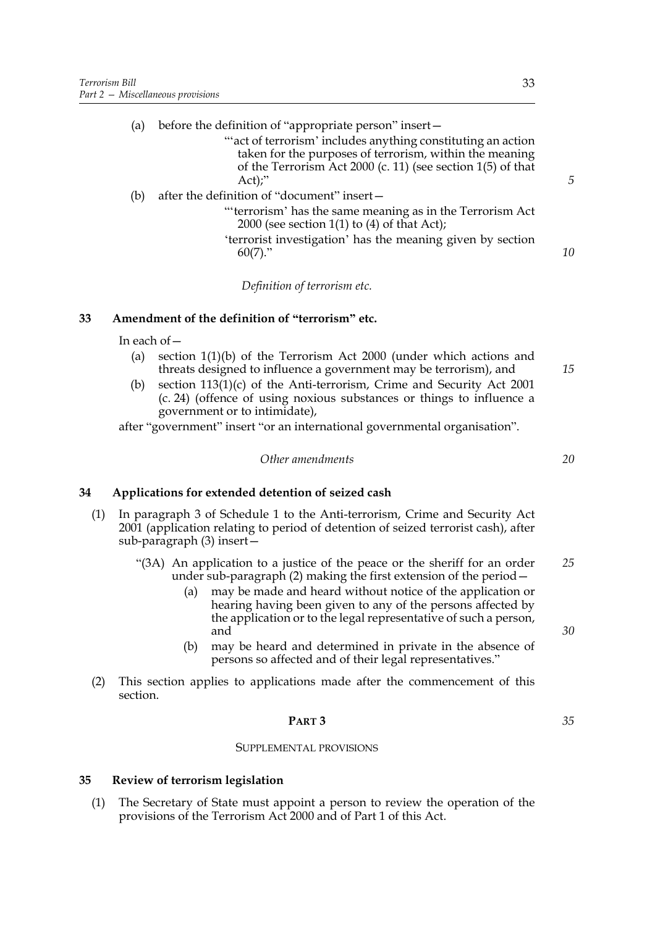| $\mu$ before the definition of "appropriate person" insert - | (a) |  |  |  |  |  |
|--------------------------------------------------------------|-----|--|--|--|--|--|
|--------------------------------------------------------------|-----|--|--|--|--|--|

- "'act of terrorism' includes anything constituting an action taken for the purposes of terrorism, within the meaning of the Terrorism Act 2000 (c. 11) (see section 1(5) of that Act);"
- (b) after the definition of "document" insert—
	- "'terrorism' has the same meaning as in the Terrorism Act 2000 (see section  $1(1)$  to  $(4)$  of that Act);
	- 'terrorist investigation' has the meaning given by section  $60(7)$ ."

*Definition of terrorism etc.*

#### **33 Amendment of the definition of "terrorism" etc.**

In each of—

- (a) section 1(1)(b) of the Terrorism Act 2000 (under which actions and threats designed to influence a government may be terrorism), and
- (b) section 113(1)(c) of the Anti-terrorism, Crime and Security Act 2001 (c. 24) (offence of using noxious substances or things to influence a government or to intimidate),

after "government" insert "or an international governmental organisation".

*Other amendments*

#### **34 Applications for extended detention of seized cash**

- (1) In paragraph 3 of Schedule 1 to the Anti-terrorism, Crime and Security Act 2001 (application relating to period of detention of seized terrorist cash), after sub-paragraph (3) insert—
	- "(3A) An application to a justice of the peace or the sheriff for an order under sub-paragraph (2) making the first extension of the period— *25*
		- (a) may be made and heard without notice of the application or hearing having been given to any of the persons affected by the application or to the legal representative of such a person, and
		- (b) may be heard and determined in private in the absence of persons so affected and of their legal representatives."
- (2) This section applies to applications made after the commencement of this section.

#### **PART 3**

# SUPPLEMENTAL PROVISIONS

#### **35 Review of terrorism legislation**

(1) The Secretary of State must appoint a person to review the operation of the provisions of the Terrorism Act 2000 and of Part 1 of this Act.

*30*

*35*

*20*

*15*

*5*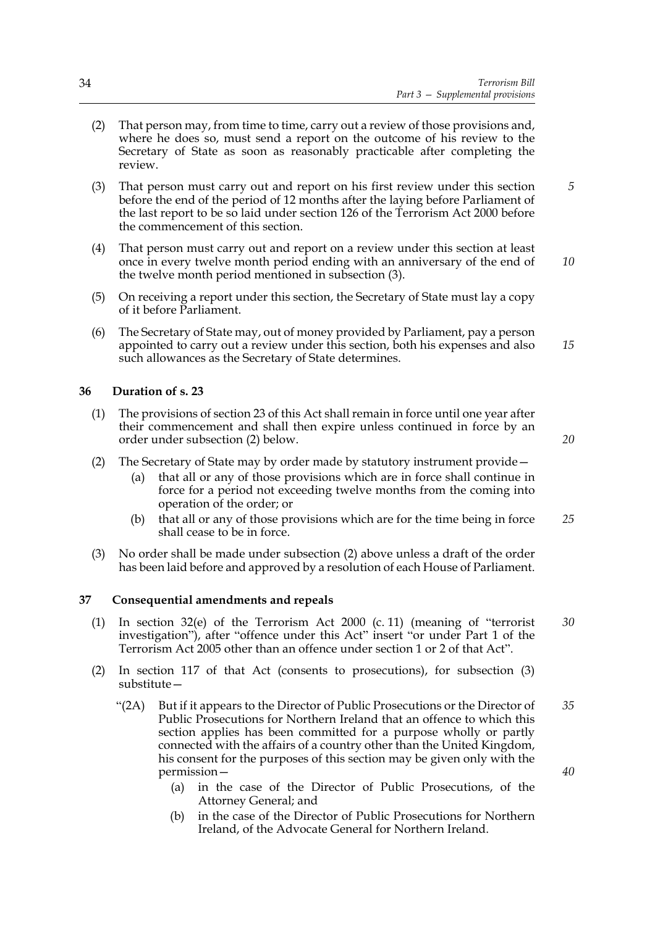- (2) That person may, from time to time, carry out a review of those provisions and, where he does so, must send a report on the outcome of his review to the Secretary of State as soon as reasonably practicable after completing the review.
- (3) That person must carry out and report on his first review under this section before the end of the period of 12 months after the laying before Parliament of the last report to be so laid under section 126 of the Terrorism Act 2000 before the commencement of this section. *5*
- (4) That person must carry out and report on a review under this section at least once in every twelve month period ending with an anniversary of the end of the twelve month period mentioned in subsection (3). *10*
- (5) On receiving a report under this section, the Secretary of State must lay a copy of it before Parliament.
- (6) The Secretary of State may, out of money provided by Parliament, pay a person appointed to carry out a review under this section, both his expenses and also such allowances as the Secretary of State determines. *15*

#### **36 Duration of s. 23**

- (1) The provisions of section 23 of this Act shall remain in force until one year after their commencement and shall then expire unless continued in force by an order under subsection (2) below.
- (2) The Secretary of State may by order made by statutory instrument provide—
	- (a) that all or any of those provisions which are in force shall continue in force for a period not exceeding twelve months from the coming into operation of the order; or
	- (b) that all or any of those provisions which are for the time being in force shall cease to be in force. *25*
- (3) No order shall be made under subsection (2) above unless a draft of the order has been laid before and approved by a resolution of each House of Parliament.

#### **37 Consequential amendments and repeals**

- (1) In section 32(e) of the Terrorism Act 2000 (c. 11) (meaning of "terrorist investigation"), after "offence under this Act" insert "or under Part 1 of the Terrorism Act 2005 other than an offence under section 1 or 2 of that Act".
- (2) In section 117 of that Act (consents to prosecutions), for subsection (3) substitute—
	- "(2A) But if it appears to the Director of Public Prosecutions or the Director of Public Prosecutions for Northern Ireland that an offence to which this section applies has been committed for a purpose wholly or partly connected with the affairs of a country other than the United Kingdom, his consent for the purposes of this section may be given only with the permission— *35 40*
		- (a) in the case of the Director of Public Prosecutions, of the Attorney General; and
		- (b) in the case of the Director of Public Prosecutions for Northern Ireland, of the Advocate General for Northern Ireland.

*20*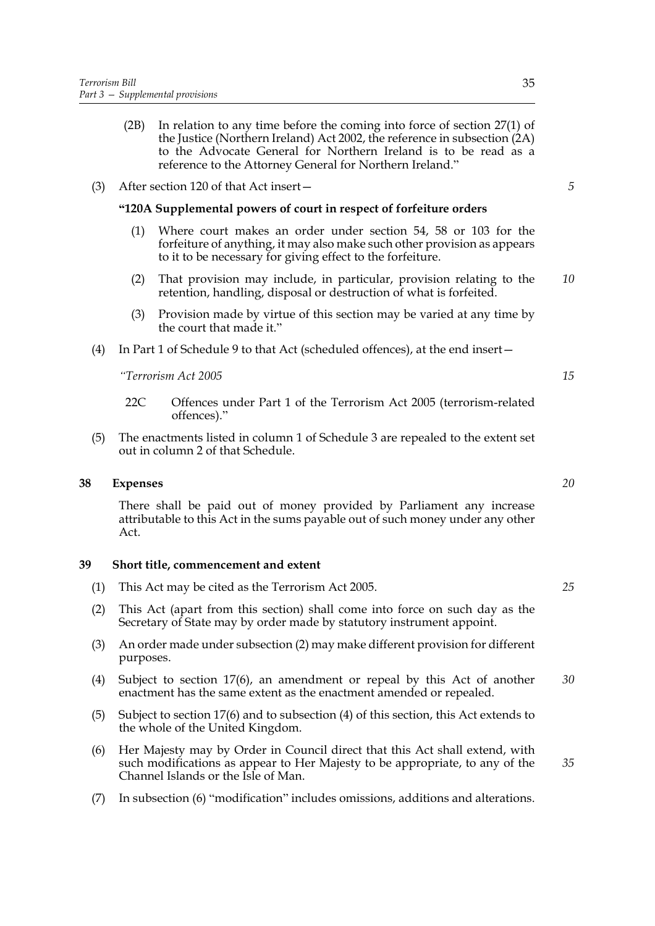- (2B) In relation to any time before the coming into force of section 27(1) of the Justice (Northern Ireland) Act 2002, the reference in subsection (2A) to the Advocate General for Northern Ireland is to be read as a reference to the Attorney General for Northern Ireland."
- (3) After section 120 of that Act insert—

#### **"120A Supplemental powers of court in respect of forfeiture orders**

- (1) Where court makes an order under section 54, 58 or 103 for the forfeiture of anything, it may also make such other provision as appears to it to be necessary for giving effect to the forfeiture.
- (2) That provision may include, in particular, provision relating to the retention, handling, disposal or destruction of what is forfeited. *10*
- (3) Provision made by virtue of this section may be varied at any time by the court that made it."
- (4) In Part 1 of Schedule 9 to that Act (scheduled offences), at the end insert—

*"Terrorism Act 2005*

- 22C Offences under Part 1 of the Terrorism Act 2005 (terrorism-related offences)."
- (5) The enactments listed in column 1 of Schedule 3 are repealed to the extent set out in column 2 of that Schedule.

#### **38 Expenses**

There shall be paid out of money provided by Parliament any increase attributable to this Act in the sums payable out of such money under any other Act.

#### **39 Short title, commencement and extent**

- (1) This Act may be cited as the Terrorism Act 2005.
- (2) This Act (apart from this section) shall come into force on such day as the Secretary of State may by order made by statutory instrument appoint.
- (3) An order made under subsection (2) may make different provision for different purposes.
- (4) Subject to section 17(6), an amendment or repeal by this Act of another enactment has the same extent as the enactment amended or repealed. *30*
- (5) Subject to section 17(6) and to subsection (4) of this section, this Act extends to the whole of the United Kingdom.
- (6) Her Majesty may by Order in Council direct that this Act shall extend, with such modifications as appear to Her Majesty to be appropriate, to any of the Channel Islands or the Isle of Man.
- (7) In subsection (6) "modification" includes omissions, additions and alterations.

*5*

*20*

*15*

*25*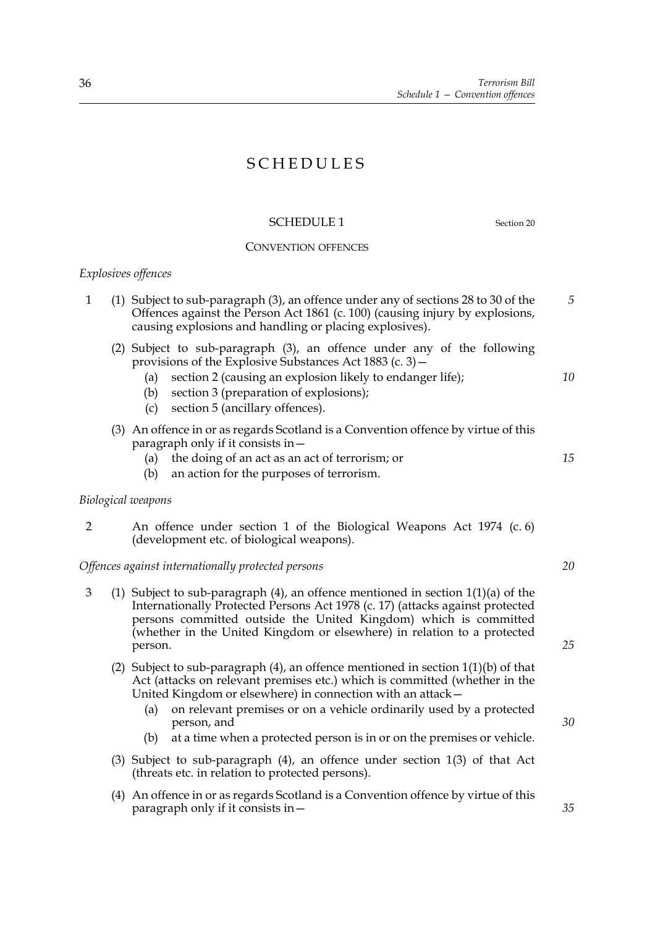# SCHEDULES

#### SCHEDULE 1 Section 20

*5*

#### CONVENTION OFFENCES

1 (1) Subject to sub-paragraph (3), an offence under any of sections 28 to 30 of the

#### *Explosives offences*

| Offences against the Person Act 1861 (c. 100) (causing injury by explosions,<br>causing explosions and handling or placing explosives).                                                                                                                                                                 |    |
|---------------------------------------------------------------------------------------------------------------------------------------------------------------------------------------------------------------------------------------------------------------------------------------------------------|----|
| Subject to sub-paragraph (3), an offence under any of the following<br>(2)<br>provisions of the Explosive Substances Act 1883 (c. 3) $-$<br>section 2 (causing an explosion likely to endanger life);<br>(a)<br>section 3 (preparation of explosions);<br>(b)<br>section 5 (ancillary offences).<br>(C) | 10 |
| (3) An offence in or as regards Scotland is a Convention offence by virtue of this<br>paragraph only if it consists in $-$<br>the doing of an act as an act of terrorism; or<br>(a)<br>an action for the purposes of terrorism.<br>(b)                                                                  | 15 |
| Biological weapons                                                                                                                                                                                                                                                                                      |    |
| An offence under section 1 of the Biological Weapons Act 1974 (c. 6)<br>(development etc. of biological weapons).                                                                                                                                                                                       |    |

#### *Offences against internationally protected persons*

- 3 (1) Subject to sub-paragraph (4), an offence mentioned in section 1(1)(a) of the Internationally Protected Persons Act 1978 (c. 17) (attacks against protected persons committed outside the United Kingdom) which is committed (whether in the United Kingdom or elsewhere) in relation to a protected person.
	- (2) Subject to sub-paragraph (4), an offence mentioned in section 1(1)(b) of that Act (attacks on relevant premises etc.) which is committed (whether in the United Kingdom or elsewhere) in connection with an attack—
		- (a) on relevant premises or on a vehicle ordinarily used by a protected person, and
		- (b) at a time when a protected person is in or on the premises or vehicle.
	- (3) Subject to sub-paragraph (4), an offence under section 1(3) of that Act (threats etc. in relation to protected persons).
	- (4) An offence in or as regards Scotland is a Convention offence by virtue of this paragraph only if it consists in—

*30*

*20*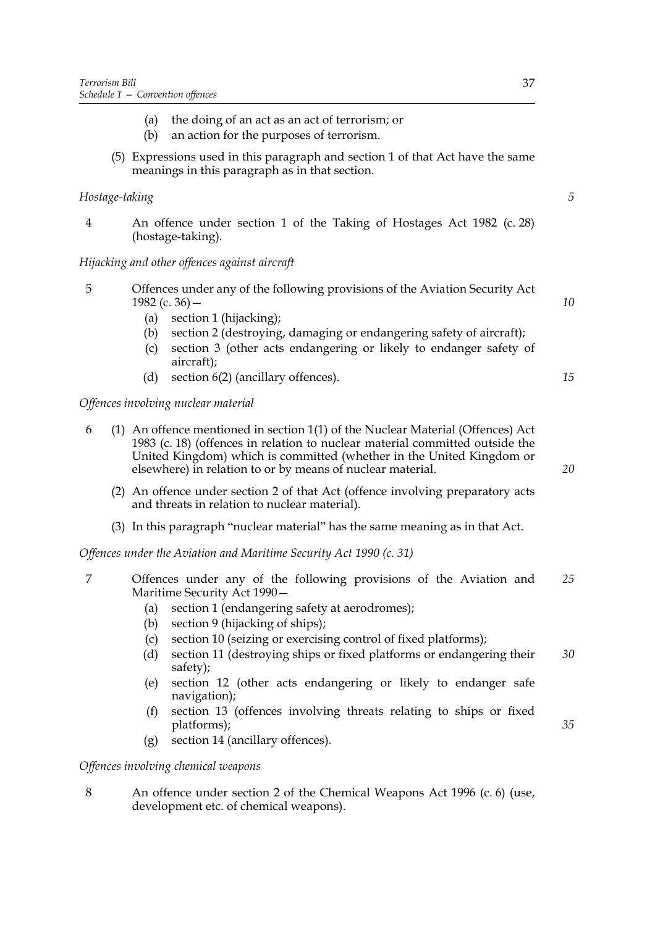- (a) the doing of an act as an act of terrorism; or
- (b) an action for the purposes of terrorism.
- (5) Expressions used in this paragraph and section 1 of that Act have the same meanings in this paragraph as in that section.

# *Hostage-taking*

4 An offence under section 1 of the Taking of Hostages Act 1982 (c. 28) (hostage-taking).

### *Hijacking and other offences against aircraft*

- 5 Offences under any of the following provisions of the Aviation Security Act 1982 (c. 36) $-$ *10*
	- (a) section 1 (hijacking);
	- (b) section 2 (destroying, damaging or endangering safety of aircraft);
	- (c) section 3 (other acts endangering or likely to endanger safety of aircraft);
	- (d) section 6(2) (ancillary offences).

*Offences involving nuclear material*

- 6 (1) An offence mentioned in section 1(1) of the Nuclear Material (Offences) Act 1983 (c. 18) (offences in relation to nuclear material committed outside the United Kingdom) which is committed (whether in the United Kingdom or elsewhere) in relation to or by means of nuclear material.
	- (2) An offence under section 2 of that Act (offence involving preparatory acts and threats in relation to nuclear material).
	- (3) In this paragraph "nuclear material" has the same meaning as in that Act.

*Offences under the Aviation and Maritime Security Act 1990 (c. 31)*

- 7 Offences under any of the following provisions of the Aviation and Maritime Security Act 1990— *25*
	- (a) section 1 (endangering safety at aerodromes);
	- (b) section 9 (hijacking of ships);
	- (c) section 10 (seizing or exercising control of fixed platforms);
	- (d) section 11 (destroying ships or fixed platforms or endangering their safety); *30*
	- (e) section 12 (other acts endangering or likely to endanger safe navigation);
	- (f) section 13 (offences involving threats relating to ships or fixed platforms);
	- (g) section 14 (ancillary offences).

# *Offences involving chemical weapons*

8 An offence under section 2 of the Chemical Weapons Act 1996 (c. 6) (use, development etc. of chemical weapons).

*20*

*35*

*15*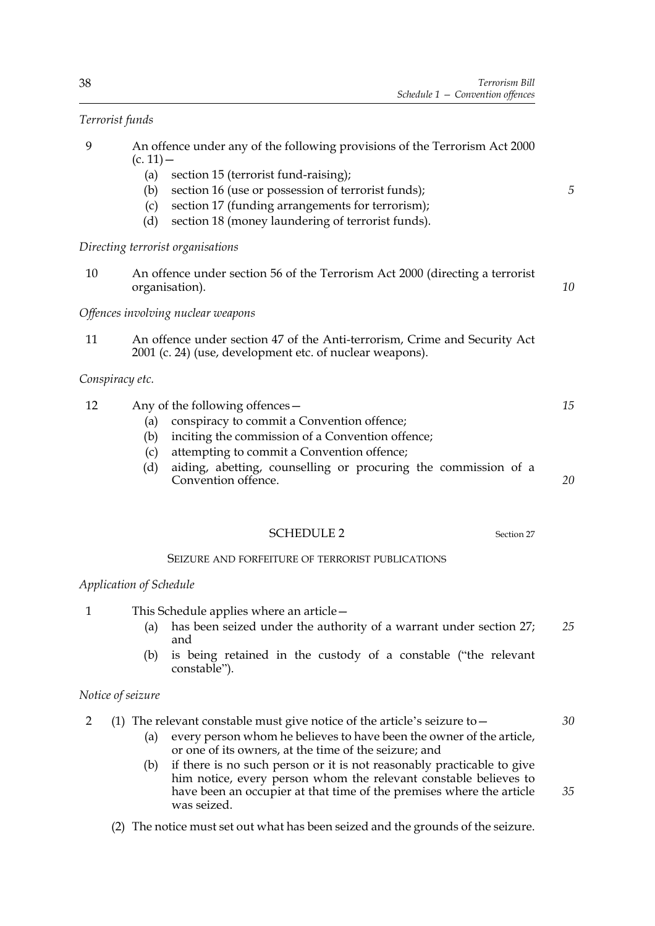# *Terrorist funds*

| 9            | An offence under any of the following provisions of the Terrorism Act 2000<br>$(c. 11) -$                                             |    |
|--------------|---------------------------------------------------------------------------------------------------------------------------------------|----|
|              | (a)<br>section 15 (terrorist fund-raising);                                                                                           |    |
|              | section 16 (use or possession of terrorist funds);<br>(b)                                                                             | 5  |
|              | section 17 (funding arrangements for terrorism);<br>(c)                                                                               |    |
|              | section 18 (money laundering of terrorist funds).<br>(d)                                                                              |    |
|              | Directing terrorist organisations                                                                                                     |    |
| 10           | An offence under section 56 of the Terrorism Act 2000 (directing a terrorist<br>organisation).                                        | 10 |
|              | Offences involving nuclear weapons                                                                                                    |    |
| 11           | An offence under section 47 of the Anti-terrorism, Crime and Security Act<br>2001 (c. 24) (use, development etc. of nuclear weapons). |    |
|              | Conspiracy etc.                                                                                                                       |    |
| 12           | Any of the following offences -                                                                                                       | 15 |
|              | conspiracy to commit a Convention offence;<br>(a)                                                                                     |    |
|              | inciting the commission of a Convention offence;<br>(b)                                                                               |    |
|              | attempting to commit a Convention offence;<br>(c)                                                                                     |    |
|              | aiding, abetting, counselling or procuring the commission of a<br>(d)<br>Convention offence.                                          | 20 |
|              |                                                                                                                                       |    |
|              | <b>SCHEDULE 2</b><br>Section 27                                                                                                       |    |
|              | SEIZURE AND FORFEITURE OF TERRORIST PUBLICATIONS                                                                                      |    |
|              | Application of Schedule                                                                                                               |    |
| $\mathbf{1}$ | This Schedule applies where an article -                                                                                              |    |
|              | has been seized under the authority of a warrant under section 27;<br>(a)<br>and                                                      | 25 |
|              | is being retained in the custody of a constable ("the relevant<br>(b)<br>constable").                                                 |    |

### *Notice of seizure*

- 2 (1) The relevant constable must give notice of the article's seizure to—
	- (a) every person whom he believes to have been the owner of the article, or one of its owners, at the time of the seizure; and
	- (b) if there is no such person or it is not reasonably practicable to give him notice, every person whom the relevant constable believes to have been an occupier at that time of the premises where the article was seized. *35*
	- (2) The notice must set out what has been seized and the grounds of the seizure.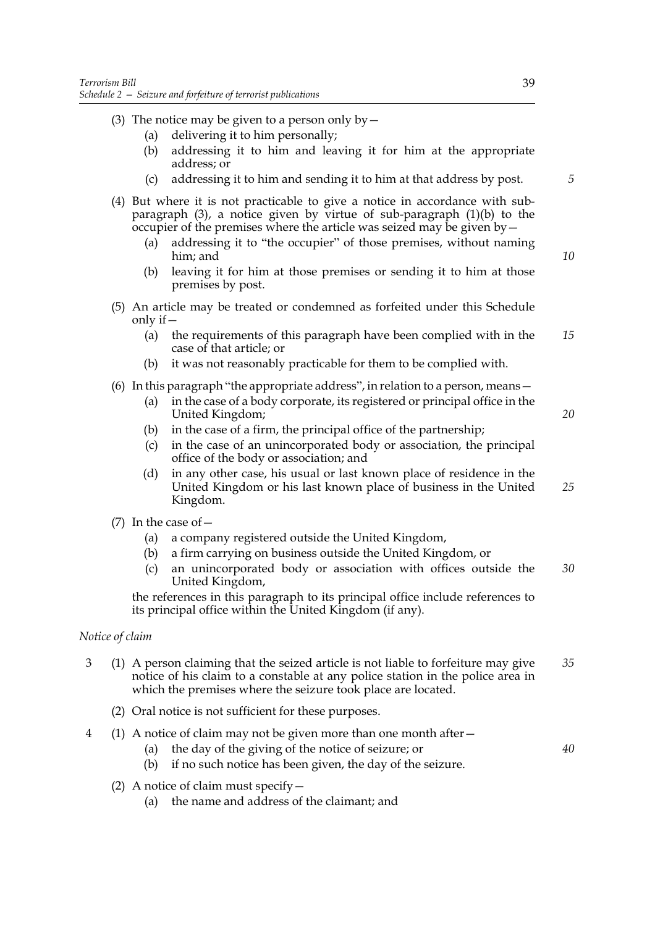- (3) The notice may be given to a person only by  $-$ 
	- (a) delivering it to him personally;
	- (b) addressing it to him and leaving it for him at the appropriate address; or
	- (c) addressing it to him and sending it to him at that address by post.
- (4) But where it is not practicable to give a notice in accordance with subparagraph (3), a notice given by virtue of sub-paragraph (1)(b) to the occupier of the premises where the article was seized may be given by—
	- (a) addressing it to "the occupier" of those premises, without naming him; and
	- (b) leaving it for him at those premises or sending it to him at those premises by post.
- (5) An article may be treated or condemned as forfeited under this Schedule only if  $-$ 
	- (a) the requirements of this paragraph have been complied with in the case of that article; or *15*
	- (b) it was not reasonably practicable for them to be complied with.
- (6) In this paragraph "the appropriate address", in relation to a person, means—
	- (a) in the case of a body corporate, its registered or principal office in the United Kingdom;
	- (b) in the case of a firm, the principal office of the partnership;
	- (c) in the case of an unincorporated body or association, the principal office of the body or association; and
	- (d) in any other case, his usual or last known place of residence in the United Kingdom or his last known place of business in the United Kingdom. *25*
- (7) In the case of—
	- (a) a company registered outside the United Kingdom,
	- (b) a firm carrying on business outside the United Kingdom, or
	- (c) an unincorporated body or association with offices outside the United Kingdom, *30*

the references in this paragraph to its principal office include references to its principal office within the United Kingdom (if any).

#### *Notice of claim*

- 3 (1) A person claiming that the seized article is not liable to forfeiture may give notice of his claim to a constable at any police station in the police area in which the premises where the seizure took place are located. *35*
	- (2) Oral notice is not sufficient for these purposes.
- 4 (1) A notice of claim may not be given more than one month after—
	- (a) the day of the giving of the notice of seizure; or

*40*

- (b) if no such notice has been given, the day of the seizure. (2) A notice of claim must specify—
	- (a) the name and address of the claimant; and

*5*

*10*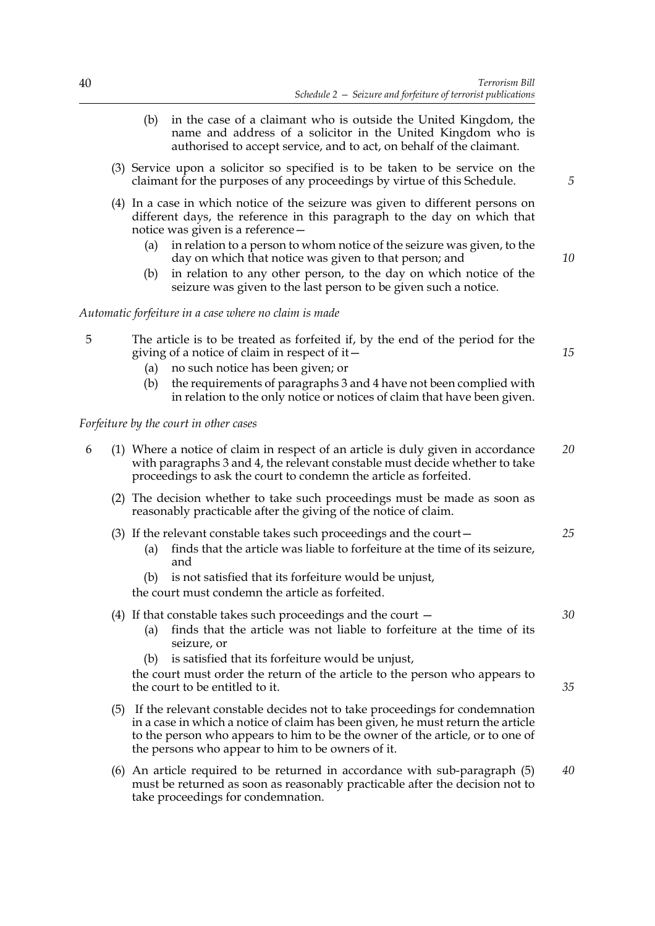- (b) in the case of a claimant who is outside the United Kingdom, the name and address of a solicitor in the United Kingdom who is authorised to accept service, and to act, on behalf of the claimant.
- (3) Service upon a solicitor so specified is to be taken to be service on the claimant for the purposes of any proceedings by virtue of this Schedule.
- (4) In a case in which notice of the seizure was given to different persons on different days, the reference in this paragraph to the day on which that notice was given is a reference—
	- (a) in relation to a person to whom notice of the seizure was given, to the day on which that notice was given to that person; and
	- (b) in relation to any other person, to the day on which notice of the seizure was given to the last person to be given such a notice.

#### *Automatic forfeiture in a case where no claim is made*

- 5 The article is to be treated as forfeited if, by the end of the period for the giving of a notice of claim in respect of it—
	- (a) no such notice has been given; or
	- (b) the requirements of paragraphs 3 and 4 have not been complied with in relation to the only notice or notices of claim that have been given.

#### *Forfeiture by the court in other cases*

- 6 (1) Where a notice of claim in respect of an article is duly given in accordance with paragraphs 3 and 4, the relevant constable must decide whether to take proceedings to ask the court to condemn the article as forfeited. *20*
	- (2) The decision whether to take such proceedings must be made as soon as reasonably practicable after the giving of the notice of claim.
	- (3) If the relevant constable takes such proceedings and the court— *25*
		- (a) finds that the article was liable to forfeiture at the time of its seizure, and
		- (b) is not satisfied that its forfeiture would be unjust,
		- the court must condemn the article as forfeited.

(4) If that constable takes such proceedings and the court —

- (a) finds that the article was not liable to forfeiture at the time of its seizure, or
- (b) is satisfied that its forfeiture would be unjust,

the court must order the return of the article to the person who appears to the court to be entitled to it.

- (5) If the relevant constable decides not to take proceedings for condemnation in a case in which a notice of claim has been given, he must return the article to the person who appears to him to be the owner of the article, or to one of the persons who appear to him to be owners of it.
- (6) An article required to be returned in accordance with sub-paragraph (5) must be returned as soon as reasonably practicable after the decision not to take proceedings for condemnation. *40*

*5*

*10*

*30*

*35*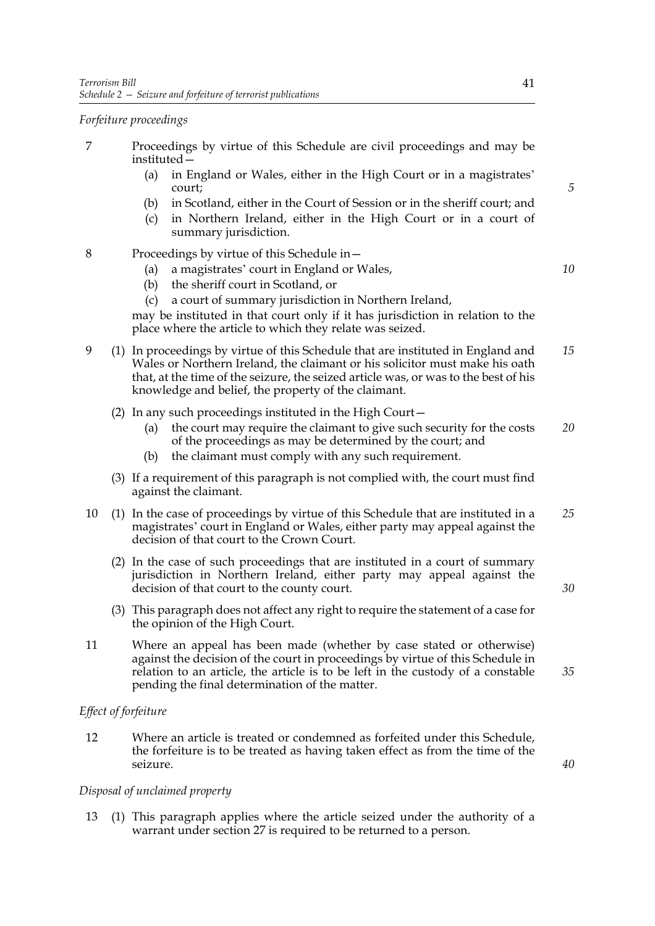#### *Forfeiture proceedings*

- 7 Proceedings by virtue of this Schedule are civil proceedings and may be instituted—
	- (a) in England or Wales, either in the High Court or in a magistrates' court;
	- (b) in Scotland, either in the Court of Session or in the sheriff court; and
	- (c) in Northern Ireland, either in the High Court or in a court of summary jurisdiction.
- 8 Proceedings by virtue of this Schedule in—
	- (a) a magistrates' court in England or Wales,
	- (b) the sheriff court in Scotland, or
	- (c) a court of summary jurisdiction in Northern Ireland,

may be instituted in that court only if it has jurisdiction in relation to the place where the article to which they relate was seized.

- 9 (1) In proceedings by virtue of this Schedule that are instituted in England and Wales or Northern Ireland, the claimant or his solicitor must make his oath that, at the time of the seizure, the seized article was, or was to the best of his knowledge and belief, the property of the claimant. *15*
	- (2) In any such proceedings instituted in the High Court—
		- (a) the court may require the claimant to give such security for the costs of the proceedings as may be determined by the court; and *20*
		- (b) the claimant must comply with any such requirement.
	- (3) If a requirement of this paragraph is not complied with, the court must find against the claimant.
- 10 (1) In the case of proceedings by virtue of this Schedule that are instituted in a magistrates' court in England or Wales, either party may appeal against the decision of that court to the Crown Court. *25*
	- (2) In the case of such proceedings that are instituted in a court of summary jurisdiction in Northern Ireland, either party may appeal against the decision of that court to the county court.
	- (3) This paragraph does not affect any right to require the statement of a case for the opinion of the High Court.
- 11 Where an appeal has been made (whether by case stated or otherwise) against the decision of the court in proceedings by virtue of this Schedule in relation to an article, the article is to be left in the custody of a constable pending the final determination of the matter.

#### *Effect of forfeiture*

12 Where an article is treated or condemned as forfeited under this Schedule, the forfeiture is to be treated as having taken effect as from the time of the seizure.

#### *Disposal of unclaimed property*

13 (1) This paragraph applies where the article seized under the authority of a warrant under section 27 is required to be returned to a person.

*5*

*10*

*40*

*35*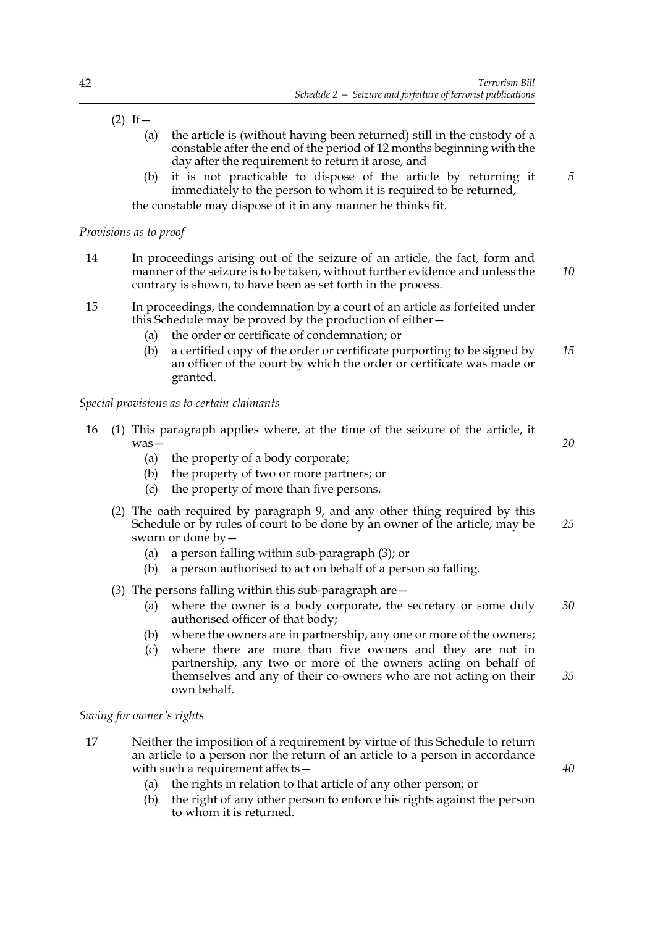# $(2)$  If  $-$

- (a) the article is (without having been returned) still in the custody of a constable after the end of the period of 12 months beginning with the day after the requirement to return it arose, and
- (b) it is not practicable to dispose of the article by returning it immediately to the person to whom it is required to be returned,

the constable may dispose of it in any manner he thinks fit.

# *Provisions as to proof*

- 14 In proceedings arising out of the seizure of an article, the fact, form and manner of the seizure is to be taken, without further evidence and unless the contrary is shown, to have been as set forth in the process. *10*
- 15 In proceedings, the condemnation by a court of an article as forfeited under this Schedule may be proved by the production of either—
	- (a) the order or certificate of condemnation; or
	- (b) a certified copy of the order or certificate purporting to be signed by an officer of the court by which the order or certificate was made or granted. *15*

# *Special provisions as to certain claimants*

- 16 (1) This paragraph applies where, at the time of the seizure of the article, it was— *20*
	- (a) the property of a body corporate;
	- (b) the property of two or more partners; or
	- (c) the property of more than five persons.
	- (2) The oath required by paragraph 9, and any other thing required by this Schedule or by rules of court to be done by an owner of the article, may be sworn or done by— *25*
		- (a) a person falling within sub-paragraph (3); or
		- (b) a person authorised to act on behalf of a person so falling.
	- (3) The persons falling within this sub-paragraph are—
		- (a) where the owner is a body corporate, the secretary or some duly authorised officer of that body; *30*
		- (b) where the owners are in partnership, any one or more of the owners;
		- (c) where there are more than five owners and they are not in partnership, any two or more of the owners acting on behalf of themselves and any of their co-owners who are not acting on their own behalf. *35*

# *Saving for owner's rights*

- 17 Neither the imposition of a requirement by virtue of this Schedule to return an article to a person nor the return of an article to a person in accordance with such a requirement affects -
	- (a) the rights in relation to that article of any other person; or
	- (b) the right of any other person to enforce his rights against the person to whom it is returned.

*40*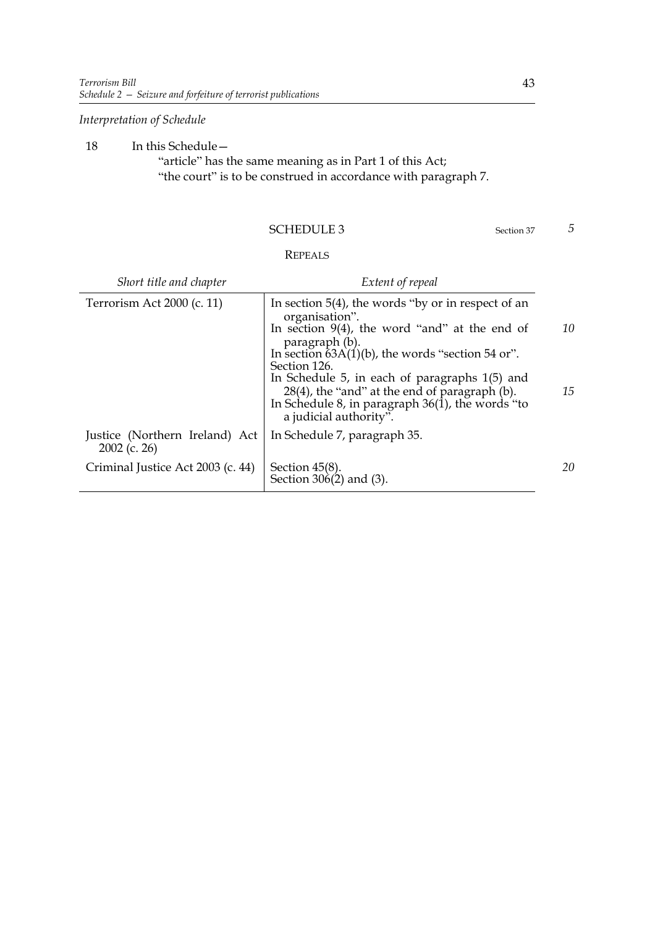*Interpretation of Schedule*

18 In this Schedule— "article" has the same meaning as in Part 1 of this Act; "the court" is to be construed in accordance with paragraph 7.

#### SCHEDULE 3 Section 37

# REPEALS

| Short title and chapter                          | Extent of repeal                                                                                                                                                                 |    |
|--------------------------------------------------|----------------------------------------------------------------------------------------------------------------------------------------------------------------------------------|----|
| Terrorism Act 2000 (c. 11)                       | In section $5(4)$ , the words "by or in respect of an<br>organisation".                                                                                                          |    |
|                                                  | In section $9(4)$ , the word "and" at the end of<br>paragraph (b).                                                                                                               | 10 |
|                                                  | In section $\overline{6}3A(1)(b)$ , the words "section 54 or".<br>Section 126.                                                                                                   |    |
|                                                  | In Schedule 5, in each of paragraphs 1(5) and<br>28(4), the "and" at the end of paragraph (b).<br>In Schedule 8, in paragraph $36(1)$ , the words "to"<br>a judicial authority". | 15 |
| Justice (Northern Ireland) Act<br>$2002$ (c. 26) | In Schedule 7, paragraph 35.                                                                                                                                                     |    |
| Criminal Justice Act 2003 (c. 44)                | Section $45(8)$ .<br>Section 306(2) and (3).                                                                                                                                     | 20 |